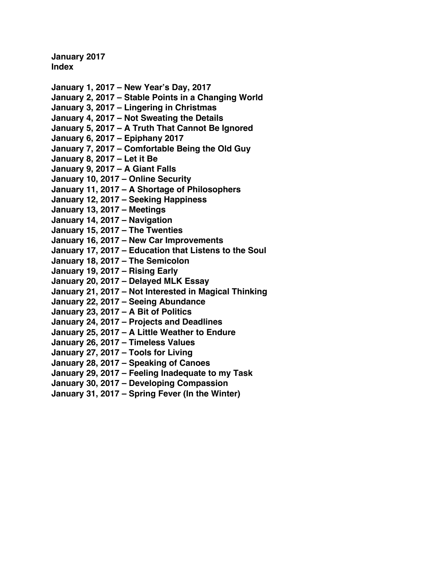**January 2017 Index**

- **January 1, 2017  [New Year's Day, 2017](#page-1-0)**
- **January 2, 2017  [Stable Points in a Changing World](#page-3-0)**
- **January 3, 2017  [Lingering in Christmas](#page-5-0)**
- **January 4, 2017  [Not Sweating the Details](#page-7-0)**
- **January 5, 2017  [A Truth That Cannot Be Ignored](#page-9-0)**
- **January 6, 2017  [Epiphany 2017](#page-11-0)**
- **January 7, 2017  [Comfortable Being the Old Guy](#page-14-0)**
- **[January 8, 2017](#page-16-0) Let it Be**
- **[January 9, 2017](#page-18-0) A Giant Falls**
- **January 10, 2017  [Online Security](#page-20-0)**
- **January 11, 2017 A [Shortage of Philosophers](#page-22-0)**
- **January 12, 2017  [Seeking Happiness](#page-24-0)**
- **[January 13, 2017](#page-26-0) Meetings**
- **[January 14, 2017](#page-29-0) Navigation**
- **[January 15, 2017](#page-31-0) The Twenties**
- **[January 16, 2017 New Car Improvements](#page-33-0)**
- **January 17, 2017  [Education that Listens to the Soul](#page-35-0)**
- **January 18, 2017  [The Semicolon](#page-37-0)**
- **[January 19, 2017](#page-39-0) Rising Early**
- **January 20, 2017  [Delayed MLK Essay](#page-41-0)**
- **January 21, 2017  [Not Interested in Magical Thinking](#page-43-0)**
- **January 22, 2017  [Seeing Abundance](#page-45-0)**
- **[January 23, 2017](#page-47-0) A Bit of Politics**
- **January 24, 2017  [Projects and Deadlines](#page-49-0)**
- **January 25, 2017 A [Little Weather to Endure](#page-51-0)**
- **January 26, 2017  [Timeless Values](#page-53-0)**
- **January 27, 2017  [Tools for Living](#page-55-0)**
- **January 28, 2017  [Speaking of Canoes](#page-58-0)**
- **January 29, 2017  [Feeling Inadequate to my Task](#page-60-0)**
- **January 30, 2017  [Developing Compassion](#page-62-0)**
- **January 31, 2017  [Spring Fever \(In the Winter\)](#page-64-0)**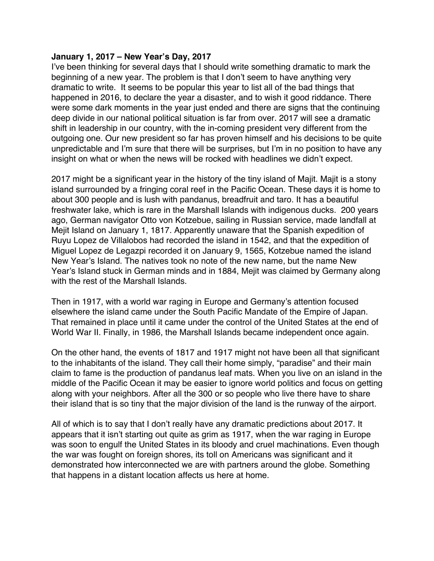### <span id="page-1-0"></span>**January 1, 2017 – New Year's Day, 2017**

I've been thinking for several days that I should write something dramatic to mark the beginning of a new year. The problem is that I don't seem to have anything very dramatic to write. It seems to be popular this year to list all of the bad things that happened in 2016, to declare the year a disaster, and to wish it good riddance. There were some dark moments in the year just ended and there are signs that the continuing deep divide in our national political situation is far from over. 2017 will see a dramatic shift in leadership in our country, with the in-coming president very different from the outgoing one. Our new president so far has proven himself and his decisions to be quite unpredictable and I'm sure that there will be surprises, but I'm in no position to have any insight on what or when the news will be rocked with headlines we didn't expect.

2017 might be a significant year in the history of the tiny island of Majit. Majit is a stony island surrounded by a fringing coral reef in the Pacific Ocean. These days it is home to about 300 people and is lush with pandanus, breadfruit and taro. It has a beautiful freshwater lake, which is rare in the Marshall Islands with indigenous ducks. 200 years ago, German navigator Otto von Kotzebue, sailing in Russian service, made landfall at Mejit Island on January 1, 1817. Apparently unaware that the Spanish expedition of Ruyu Lopez de Villalobos had recorded the island in 1542, and that the expedition of Miguel Lopez de Legazpi recorded it on January 9, 1565, Kotzebue named the island New Year's Island. The natives took no note of the new name, but the name New Year's Island stuck in German minds and in 1884, Mejit was claimed by Germany along with the rest of the Marshall Islands.

Then in 1917, with a world war raging in Europe and Germany's attention focused elsewhere the island came under the South Pacific Mandate of the Empire of Japan. That remained in place until it came under the control of the United States at the end of World War II. Finally, in 1986, the Marshall Islands became independent once again.

On the other hand, the events of 1817 and 1917 might not have been all that significant to the inhabitants of the island. They call their home simply, "paradise" and their main claim to fame is the production of pandanus leaf mats. When you live on an island in the middle of the Pacific Ocean it may be easier to ignore world politics and focus on getting along with your neighbors. After all the 300 or so people who live there have to share their island that is so tiny that the major division of the land is the runway of the airport.

All of which is to say that I don't really have any dramatic predictions about 2017. It appears that it isn't starting out quite as grim as 1917, when the war raging in Europe was soon to engulf the United States in its bloody and cruel machinations. Even though the war was fought on foreign shores, its toll on Americans was significant and it demonstrated how interconnected we are with partners around the globe. Something that happens in a distant location affects us here at home.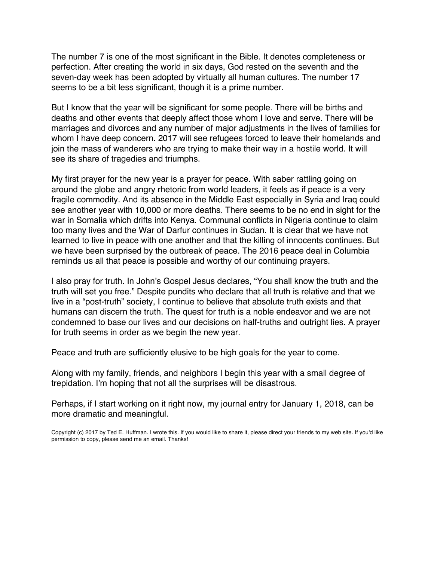The number 7 is one of the most significant in the Bible. It denotes completeness or perfection. After creating the world in six days, God rested on the seventh and the seven-day week has been adopted by virtually all human cultures. The number 17 seems to be a bit less significant, though it is a prime number.

But I know that the year will be significant for some people. There will be births and deaths and other events that deeply affect those whom I love and serve. There will be marriages and divorces and any number of major adjustments in the lives of families for whom I have deep concern. 2017 will see refugees forced to leave their homelands and join the mass of wanderers who are trying to make their way in a hostile world. It will see its share of tragedies and triumphs.

My first prayer for the new year is a prayer for peace. With saber rattling going on around the globe and angry rhetoric from world leaders, it feels as if peace is a very fragile commodity. And its absence in the Middle East especially in Syria and Iraq could see another year with 10,000 or more deaths. There seems to be no end in sight for the war in Somalia which drifts into Kenya. Communal conflicts in Nigeria continue to claim too many lives and the War of Darfur continues in Sudan. It is clear that we have not learned to live in peace with one another and that the killing of innocents continues. But we have been surprised by the outbreak of peace. The 2016 peace deal in Columbia reminds us all that peace is possible and worthy of our continuing prayers.

I also pray for truth. In John's Gospel Jesus declares, "You shall know the truth and the truth will set you free." Despite pundits who declare that all truth is relative and that we live in a "post-truth" society, I continue to believe that absolute truth exists and that humans can discern the truth. The quest for truth is a noble endeavor and we are not condemned to base our lives and our decisions on half-truths and outright lies. A prayer for truth seems in order as we begin the new year.

Peace and truth are sufficiently elusive to be high goals for the year to come.

Along with my family, friends, and neighbors I begin this year with a small degree of trepidation. I'm hoping that not all the surprises will be disastrous.

Perhaps, if I start working on it right now, my journal entry for January 1, 2018, can be more dramatic and meaningful.

Copyright (c) 2017 by Ted E. Huffman. I wrote this. If you would like to share it, please direct your friends to my web site. If you'd like permission to copy, please send me an email. Thanks!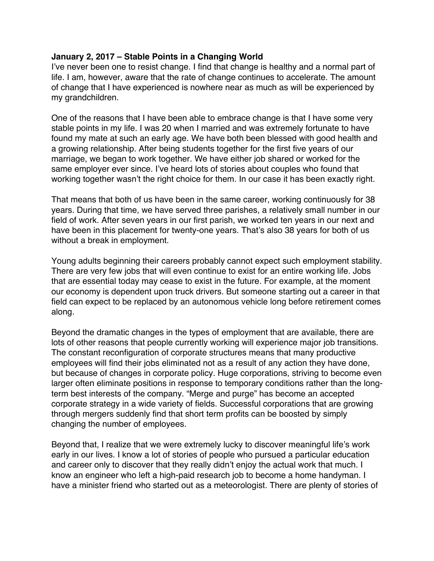### <span id="page-3-0"></span>**January 2, 2017 – Stable Points in a Changing World**

I've never been one to resist change. I find that change is healthy and a normal part of life. I am, however, aware that the rate of change continues to accelerate. The amount of change that I have experienced is nowhere near as much as will be experienced by my grandchildren.

One of the reasons that I have been able to embrace change is that I have some very stable points in my life. I was 20 when I married and was extremely fortunate to have found my mate at such an early age. We have both been blessed with good health and a growing relationship. After being students together for the first five years of our marriage, we began to work together. We have either job shared or worked for the same employer ever since. I've heard lots of stories about couples who found that working together wasn't the right choice for them. In our case it has been exactly right.

That means that both of us have been in the same career, working continuously for 38 years. During that time, we have served three parishes, a relatively small number in our field of work. After seven years in our first parish, we worked ten years in our next and have been in this placement for twenty-one years. That's also 38 years for both of us without a break in employment.

Young adults beginning their careers probably cannot expect such employment stability. There are very few jobs that will even continue to exist for an entire working life. Jobs that are essential today may cease to exist in the future. For example, at the moment our economy is dependent upon truck drivers. But someone starting out a career in that field can expect to be replaced by an autonomous vehicle long before retirement comes along.

Beyond the dramatic changes in the types of employment that are available, there are lots of other reasons that people currently working will experience major job transitions. The constant reconfiguration of corporate structures means that many productive employees will find their jobs eliminated not as a result of any action they have done, but because of changes in corporate policy. Huge corporations, striving to become even larger often eliminate positions in response to temporary conditions rather than the longterm best interests of the company. "Merge and purge" has become an accepted corporate strategy in a wide variety of fields. Successful corporations that are growing through mergers suddenly find that short term profits can be boosted by simply changing the number of employees.

Beyond that, I realize that we were extremely lucky to discover meaningful life's work early in our lives. I know a lot of stories of people who pursued a particular education and career only to discover that they really didn't enjoy the actual work that much. I know an engineer who left a high-paid research job to become a home handyman. I have a minister friend who started out as a meteorologist. There are plenty of stories of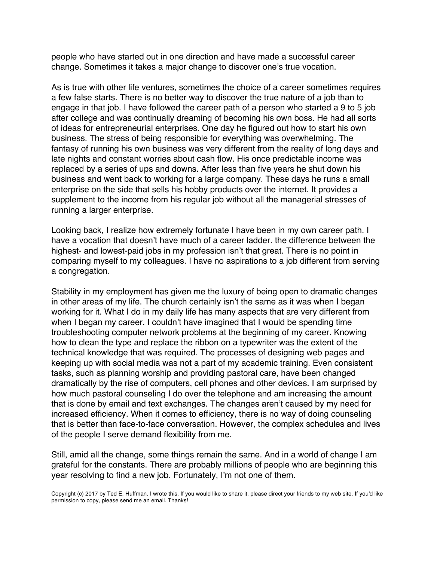people who have started out in one direction and have made a successful career change. Sometimes it takes a major change to discover one's true vocation.

As is true with other life ventures, sometimes the choice of a career sometimes requires a few false starts. There is no better way to discover the true nature of a job than to engage in that job. I have followed the career path of a person who started a 9 to 5 job after college and was continually dreaming of becoming his own boss. He had all sorts of ideas for entrepreneurial enterprises. One day he figured out how to start his own business. The stress of being responsible for everything was overwhelming. The fantasy of running his own business was very different from the reality of long days and late nights and constant worries about cash flow. His once predictable income was replaced by a series of ups and downs. After less than five years he shut down his business and went back to working for a large company. These days he runs a small enterprise on the side that sells his hobby products over the internet. It provides a supplement to the income from his regular job without all the managerial stresses of running a larger enterprise.

Looking back, I realize how extremely fortunate I have been in my own career path. I have a vocation that doesn't have much of a career ladder. the difference between the highest- and lowest-paid jobs in my profession isn't that great. There is no point in comparing myself to my colleagues. I have no aspirations to a job different from serving a congregation.

Stability in my employment has given me the luxury of being open to dramatic changes in other areas of my life. The church certainly isn't the same as it was when I began working for it. What I do in my daily life has many aspects that are very different from when I began my career. I couldn't have imagined that I would be spending time troubleshooting computer network problems at the beginning of my career. Knowing how to clean the type and replace the ribbon on a typewriter was the extent of the technical knowledge that was required. The processes of designing web pages and keeping up with social media was not a part of my academic training. Even consistent tasks, such as planning worship and providing pastoral care, have been changed dramatically by the rise of computers, cell phones and other devices. I am surprised by how much pastoral counseling I do over the telephone and am increasing the amount that is done by email and text exchanges. The changes aren't caused by my need for increased efficiency. When it comes to efficiency, there is no way of doing counseling that is better than face-to-face conversation. However, the complex schedules and lives of the people I serve demand flexibility from me.

Still, amid all the change, some things remain the same. And in a world of change I am grateful for the constants. There are probably millions of people who are beginning this year resolving to find a new job. Fortunately, I'm not one of them.

Copyright (c) 2017 by Ted E. Huffman. I wrote this. If you would like to share it, please direct your friends to my web site. If you'd like permission to copy, please send me an email. Thanks!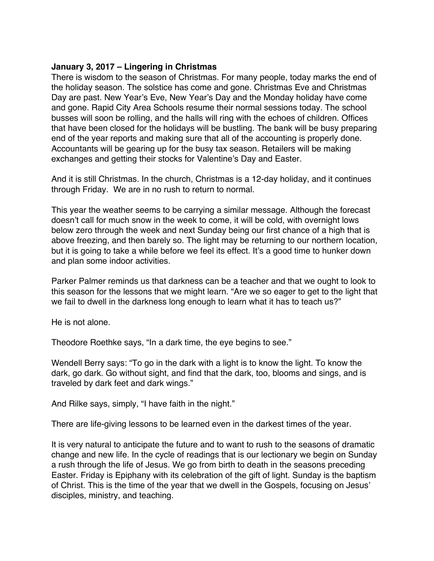### <span id="page-5-0"></span>**January 3, 2017 – Lingering in Christmas**

There is wisdom to the season of Christmas. For many people, today marks the end of the holiday season. The solstice has come and gone. Christmas Eve and Christmas Day are past. New Year's Eve, New Year's Day and the Monday holiday have come and gone. Rapid City Area Schools resume their normal sessions today. The school busses will soon be rolling, and the halls will ring with the echoes of children. Offices that have been closed for the holidays will be bustling. The bank will be busy preparing end of the year reports and making sure that all of the accounting is properly done. Accountants will be gearing up for the busy tax season. Retailers will be making exchanges and getting their stocks for Valentine's Day and Easter.

And it is still Christmas. In the church, Christmas is a 12-day holiday, and it continues through Friday. We are in no rush to return to normal.

This year the weather seems to be carrying a similar message. Although the forecast doesn't call for much snow in the week to come, it will be cold, with overnight lows below zero through the week and next Sunday being our first chance of a high that is above freezing, and then barely so. The light may be returning to our northern location, but it is going to take a while before we feel its effect. It's a good time to hunker down and plan some indoor activities.

Parker Palmer reminds us that darkness can be a teacher and that we ought to look to this season for the lessons that we might learn. "Are we so eager to get to the light that we fail to dwell in the darkness long enough to learn what it has to teach us?"

He is not alone.

Theodore Roethke says, "In a dark time, the eye begins to see."

Wendell Berry says: "To go in the dark with a light is to know the light. To know the dark, go dark. Go without sight, and find that the dark, too, blooms and sings, and is traveled by dark feet and dark wings."

And Rilke says, simply, "I have faith in the night."

There are life-giving lessons to be learned even in the darkest times of the year.

It is very natural to anticipate the future and to want to rush to the seasons of dramatic change and new life. In the cycle of readings that is our lectionary we begin on Sunday a rush through the life of Jesus. We go from birth to death in the seasons preceding Easter. Friday is Epiphany with its celebration of the gift of light. Sunday is the baptism of Christ. This is the time of the year that we dwell in the Gospels, focusing on Jesus' disciples, ministry, and teaching.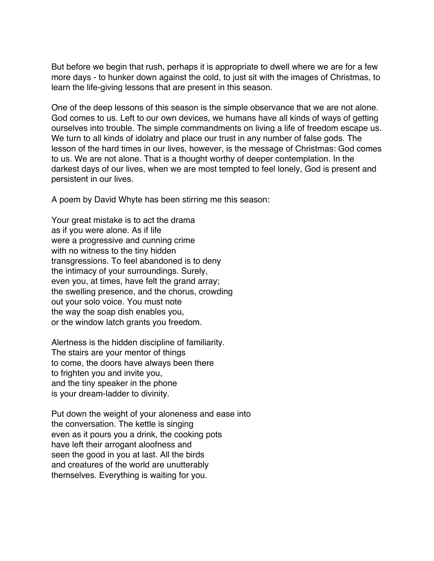But before we begin that rush, perhaps it is appropriate to dwell where we are for a few more days - to hunker down against the cold, to just sit with the images of Christmas, to learn the life-giving lessons that are present in this season.

One of the deep lessons of this season is the simple observance that we are not alone. God comes to us. Left to our own devices, we humans have all kinds of ways of getting ourselves into trouble. The simple commandments on living a life of freedom escape us. We turn to all kinds of idolatry and place our trust in any number of false gods. The lesson of the hard times in our lives, however, is the message of Christmas: God comes to us. We are not alone. That is a thought worthy of deeper contemplation. In the darkest days of our lives, when we are most tempted to feel lonely, God is present and persistent in our lives.

A poem by David Whyte has been stirring me this season:

Your great mistake is to act the drama as if you were alone. As if life were a progressive and cunning crime with no witness to the tiny hidden transgressions. To feel abandoned is to deny the intimacy of your surroundings. Surely, even you, at times, have felt the grand array; the swelling presence, and the chorus, crowding out your solo voice. You must note the way the soap dish enables you, or the window latch grants you freedom.

Alertness is the hidden discipline of familiarity. The stairs are your mentor of things to come, the doors have always been there to frighten you and invite you, and the tiny speaker in the phone is your dream-ladder to divinity.

Put down the weight of your aloneness and ease into the conversation. The kettle is singing even as it pours you a drink, the cooking pots have left their arrogant aloofness and seen the good in you at last. All the birds and creatures of the world are unutterably themselves. Everything is waiting for you.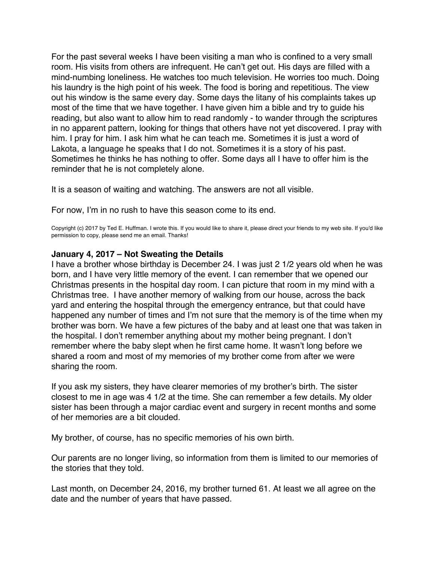<span id="page-7-0"></span>For the past several weeks I have been visiting a man who is confined to a very small room. His visits from others are infrequent. He can't get out. His days are filled with a mind-numbing loneliness. He watches too much television. He worries too much. Doing his laundry is the high point of his week. The food is boring and repetitious. The view out his window is the same every day. Some days the litany of his complaints takes up most of the time that we have together. I have given him a bible and try to guide his reading, but also want to allow him to read randomly - to wander through the scriptures in no apparent pattern, looking for things that others have not yet discovered. I pray with him. I pray for him. I ask him what he can teach me. Sometimes it is just a word of Lakota, a language he speaks that I do not. Sometimes it is a story of his past. Sometimes he thinks he has nothing to offer. Some days all I have to offer him is the reminder that he is not completely alone.

It is a season of waiting and watching. The answers are not all visible.

For now, I'm in no rush to have this season come to its end.

Copyright (c) 2017 by Ted E. Huffman. I wrote this. If you would like to share it, please direct your friends to my web site. If you'd like permission to copy, please send me an email. Thanks!

#### **January 4, 2017 – Not Sweating the Details**

I have a brother whose birthday is December 24. I was just 2 1/2 years old when he was born, and I have very little memory of the event. I can remember that we opened our Christmas presents in the hospital day room. I can picture that room in my mind with a Christmas tree. I have another memory of walking from our house, across the back yard and entering the hospital through the emergency entrance, but that could have happened any number of times and I'm not sure that the memory is of the time when my brother was born. We have a few pictures of the baby and at least one that was taken in the hospital. I don't remember anything about my mother being pregnant. I don't remember where the baby slept when he first came home. It wasn't long before we shared a room and most of my memories of my brother come from after we were sharing the room.

If you ask my sisters, they have clearer memories of my brother's birth. The sister closest to me in age was 4 1/2 at the time. She can remember a few details. My older sister has been through a major cardiac event and surgery in recent months and some of her memories are a bit clouded.

My brother, of course, has no specific memories of his own birth.

Our parents are no longer living, so information from them is limited to our memories of the stories that they told.

Last month, on December 24, 2016, my brother turned 61. At least we all agree on the date and the number of years that have passed.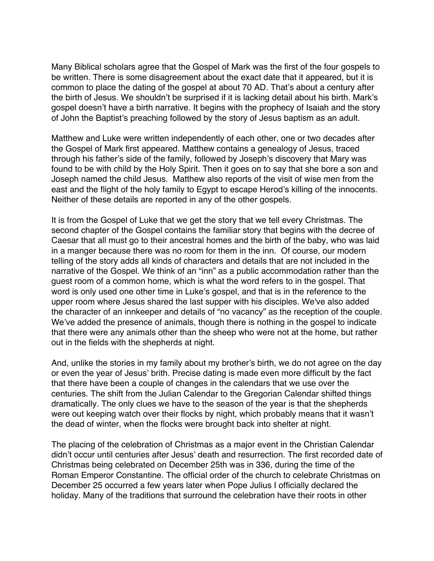Many Biblical scholars agree that the Gospel of Mark was the first of the four gospels to be written. There is some disagreement about the exact date that it appeared, but it is common to place the dating of the gospel at about 70 AD. That's about a century after the birth of Jesus. We shouldn't be surprised if it is lacking detail about his birth. Mark's gospel doesn't have a birth narrative. It begins with the prophecy of Isaiah and the story of John the Baptist's preaching followed by the story of Jesus baptism as an adult.

Matthew and Luke were written independently of each other, one or two decades after the Gospel of Mark first appeared. Matthew contains a genealogy of Jesus, traced through his father's side of the family, followed by Joseph's discovery that Mary was found to be with child by the Holy Spirit. Then it goes on to say that she bore a son and Joseph named the child Jesus. Matthew also reports of the visit of wise men from the east and the flight of the holy family to Egypt to escape Herod's killing of the innocents. Neither of these details are reported in any of the other gospels.

It is from the Gospel of Luke that we get the story that we tell every Christmas. The second chapter of the Gospel contains the familiar story that begins with the decree of Caesar that all must go to their ancestral homes and the birth of the baby, who was laid in a manger because there was no room for them in the inn. Of course, our modern telling of the story adds all kinds of characters and details that are not included in the narrative of the Gospel. We think of an "inn" as a public accommodation rather than the guest room of a common home, which is what the word refers to in the gospel. That word is only used one other time in Luke's gospel, and that is in the reference to the upper room where Jesus shared the last supper with his disciples. We've also added the character of an innkeeper and details of "no vacancy" as the reception of the couple. We've added the presence of animals, though there is nothing in the gospel to indicate that there were any animals other than the sheep who were not at the home, but rather out in the fields with the shepherds at night.

And, unlike the stories in my family about my brother's birth, we do not agree on the day or even the year of Jesus' brith. Precise dating is made even more difficult by the fact that there have been a couple of changes in the calendars that we use over the centuries. The shift from the Julian Calendar to the Gregorian Calendar shifted things dramatically. The only clues we have to the season of the year is that the shepherds were out keeping watch over their flocks by night, which probably means that it wasn't the dead of winter, when the flocks were brought back into shelter at night.

The placing of the celebration of Christmas as a major event in the Christian Calendar didn't occur until centuries after Jesus' death and resurrection. The first recorded date of Christmas being celebrated on December 25th was in 336, during the time of the Roman Emperor Constantine. The official order of the church to celebrate Christmas on December 25 occurred a few years later when Pope Julius I officially declared the holiday. Many of the traditions that surround the celebration have their roots in other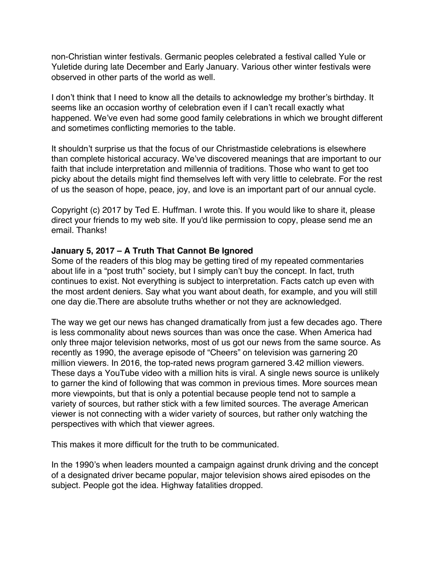<span id="page-9-0"></span>non-Christian winter festivals. Germanic peoples celebrated a festival called Yule or Yuletide during late December and Early January. Various other winter festivals were observed in other parts of the world as well.

I don't think that I need to know all the details to acknowledge my brother's birthday. It seems like an occasion worthy of celebration even if I can't recall exactly what happened. We've even had some good family celebrations in which we brought different and sometimes conflicting memories to the table.

It shouldn't surprise us that the focus of our Christmastide celebrations is elsewhere than complete historical accuracy. We've discovered meanings that are important to our faith that include interpretation and millennia of traditions. Those who want to get too picky about the details might find themselves left with very little to celebrate. For the rest of us the season of hope, peace, joy, and love is an important part of our annual cycle.

Copyright (c) 2017 by Ted E. Huffman. I wrote this. If you would like to share it, please direct your friends to my web site. If you'd like permission to copy, please send me an email. Thanks!

### **January 5, 2017 – A Truth That Cannot Be Ignored**

Some of the readers of this blog may be getting tired of my repeated commentaries about life in a "post truth" society, but I simply can't buy the concept. In fact, truth continues to exist. Not everything is subject to interpretation. Facts catch up even with the most ardent deniers. Say what you want about death, for example, and you will still one day die.There are absolute truths whether or not they are acknowledged.

The way we get our news has changed dramatically from just a few decades ago. There is less commonality about news sources than was once the case. When America had only three major television networks, most of us got our news from the same source. As recently as 1990, the average episode of "Cheers" on television was garnering 20 million viewers. In 2016, the top-rated news program garnered 3.42 million viewers. These days a YouTube video with a million hits is viral. A single news source is unlikely to garner the kind of following that was common in previous times. More sources mean more viewpoints, but that is only a potential because people tend not to sample a variety of sources, but rather stick with a few limited sources. The average American viewer is not connecting with a wider variety of sources, but rather only watching the perspectives with which that viewer agrees.

This makes it more difficult for the truth to be communicated.

In the 1990's when leaders mounted a campaign against drunk driving and the concept of a designated driver became popular, major television shows aired episodes on the subject. People got the idea. Highway fatalities dropped.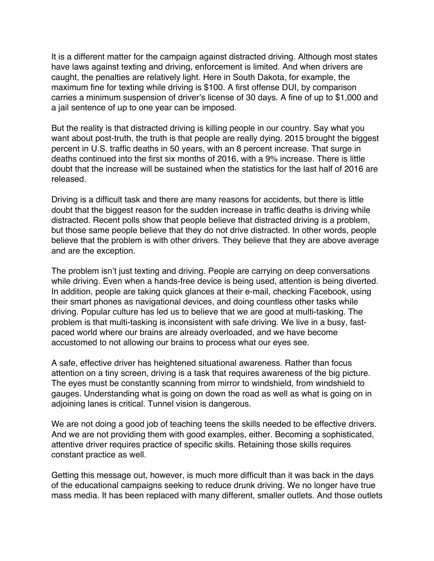It is a different matter for the campaign against distracted driving. Although most states have laws against texting and driving, enforcement is limited. And when drivers are caught, the penalties are relatively light. Here in South Dakota, for example, the maximum fine for texting while driving is \$100. A first offense DUI, by comparison carries a minimum suspension of driver's license of 30 days. A fine of up to \$1,000 and a jail sentence of up to one year can be imposed.

But the reality is that distracted driving is killing people in our country. Say what you want about post-truth, the truth is that people are really dying. 2015 brought the biggest percent in U.S. traffic deaths in 50 years, with an 8 percent increase. That surge in deaths continued into the first six months of 2016, with a 9% increase. There is little doubt that the increase will be sustained when the statistics for the last half of 2016 are released.

Driving is a difficult task and there are many reasons for accidents, but there is little doubt that the biggest reason for the sudden increase in traffic deaths is driving while distracted. Recent polls show that people believe that distracted driving is a problem, but those same people believe that they do not drive distracted. In other words, people believe that the problem is with other drivers. They believe that they are above average and are the exception.

The problem isn't just texting and driving. People are carrying on deep conversations while driving. Even when a hands-free device is being used, attention is being diverted. In addition, people are taking quick glances at their e-mail, checking Facebook, using their smart phones as navigational devices, and doing countless other tasks while driving. Popular culture has led us to believe that we are good at multi-tasking. The problem is that multi-tasking is inconsistent with safe driving. We live in a busy, fastpaced world where our brains are already overloaded, and we have become accustomed to not allowing our brains to process what our eyes see.

A safe, effective driver has heightened situational awareness. Rather than focus attention on a tiny screen, driving is a task that requires awareness of the big picture. The eyes must be constantly scanning from mirror to windshield, from windshield to gauges. Understanding what is going on down the road as well as what is going on in adjoining lanes is critical. Tunnel vision is dangerous.

We are not doing a good job of teaching teens the skills needed to be effective drivers. And we are not providing them with good examples, either. Becoming a sophisticated, attentive driver requires practice of specific skills. Retaining those skills requires constant practice as well.

Getting this message out, however, is much more difficult than it was back in the days of the educational campaigns seeking to reduce drunk driving. We no longer have true mass media. It has been replaced with many different, smaller outlets. And those outlets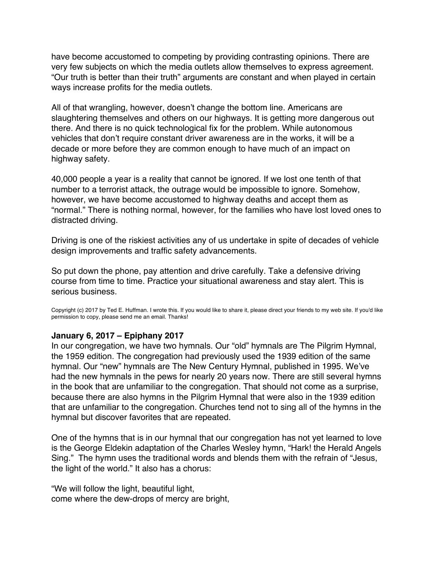<span id="page-11-0"></span>have become accustomed to competing by providing contrasting opinions. There are very few subjects on which the media outlets allow themselves to express agreement. "Our truth is better than their truth" arguments are constant and when played in certain ways increase profits for the media outlets.

All of that wrangling, however, doesn't change the bottom line. Americans are slaughtering themselves and others on our highways. It is getting more dangerous out there. And there is no quick technological fix for the problem. While autonomous vehicles that don't require constant driver awareness are in the works, it will be a decade or more before they are common enough to have much of an impact on highway safety.

40,000 people a year is a reality that cannot be ignored. If we lost one tenth of that number to a terrorist attack, the outrage would be impossible to ignore. Somehow, however, we have become accustomed to highway deaths and accept them as "normal." There is nothing normal, however, for the families who have lost loved ones to distracted driving.

Driving is one of the riskiest activities any of us undertake in spite of decades of vehicle design improvements and traffic safety advancements.

So put down the phone, pay attention and drive carefully. Take a defensive driving course from time to time. Practice your situational awareness and stay alert. This is serious business.

Copyright (c) 2017 by Ted E. Huffman. I wrote this. If you would like to share it, please direct your friends to my web site. If you'd like permission to copy, please send me an email. Thanks!

#### **January 6, 2017 – Epiphany 2017**

In our congregation, we have two hymnals. Our "old" hymnals are The Pilgrim Hymnal, the 1959 edition. The congregation had previously used the 1939 edition of the same hymnal. Our "new" hymnals are The New Century Hymnal, published in 1995. We've had the new hymnals in the pews for nearly 20 years now. There are still several hymns in the book that are unfamiliar to the congregation. That should not come as a surprise, because there are also hymns in the Pilgrim Hymnal that were also in the 1939 edition that are unfamiliar to the congregation. Churches tend not to sing all of the hymns in the hymnal but discover favorites that are repeated.

One of the hymns that is in our hymnal that our congregation has not yet learned to love is the George Eldekin adaptation of the Charles Wesley hymn, "Hark! the Herald Angels Sing." The hymn uses the traditional words and blends them with the refrain of "Jesus, the light of the world." It also has a chorus:

"We will follow the light, beautiful light, come where the dew-drops of mercy are bright,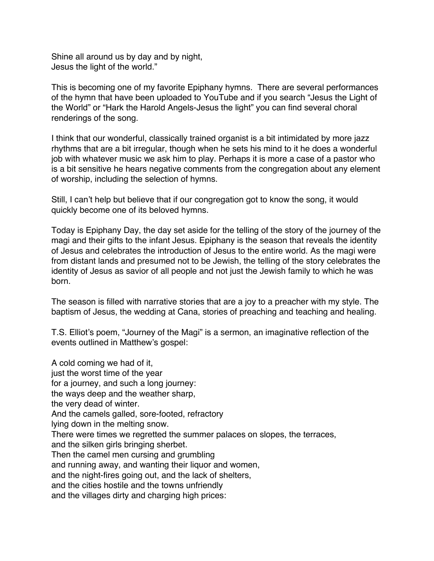Shine all around us by day and by night, Jesus the light of the world."

This is becoming one of my favorite Epiphany hymns. There are several performances of the hymn that have been uploaded to YouTube and if you search "Jesus the Light of the World" or "Hark the Harold Angels-Jesus the light" you can find several choral renderings of the song.

I think that our wonderful, classically trained organist is a bit intimidated by more jazz rhythms that are a bit irregular, though when he sets his mind to it he does a wonderful job with whatever music we ask him to play. Perhaps it is more a case of a pastor who is a bit sensitive he hears negative comments from the congregation about any element of worship, including the selection of hymns.

Still, I can't help but believe that if our congregation got to know the song, it would quickly become one of its beloved hymns.

Today is Epiphany Day, the day set aside for the telling of the story of the journey of the magi and their gifts to the infant Jesus. Epiphany is the season that reveals the identity of Jesus and celebrates the introduction of Jesus to the entire world. As the magi were from distant lands and presumed not to be Jewish, the telling of the story celebrates the identity of Jesus as savior of all people and not just the Jewish family to which he was born.

The season is filled with narrative stories that are a joy to a preacher with my style. The baptism of Jesus, the wedding at Cana, stories of preaching and teaching and healing.

T.S. Elliot's poem, "Journey of the Magi" is a sermon, an imaginative reflection of the events outlined in Matthew's gospel:

A cold coming we had of it, just the worst time of the year for a journey, and such a long journey: the ways deep and the weather sharp, the very dead of winter. And the camels galled, sore-footed, refractory lying down in the melting snow. There were times we regretted the summer palaces on slopes, the terraces, and the silken girls bringing sherbet. Then the camel men cursing and grumbling and running away, and wanting their liquor and women, and the night-fires going out, and the lack of shelters, and the cities hostile and the towns unfriendly and the villages dirty and charging high prices: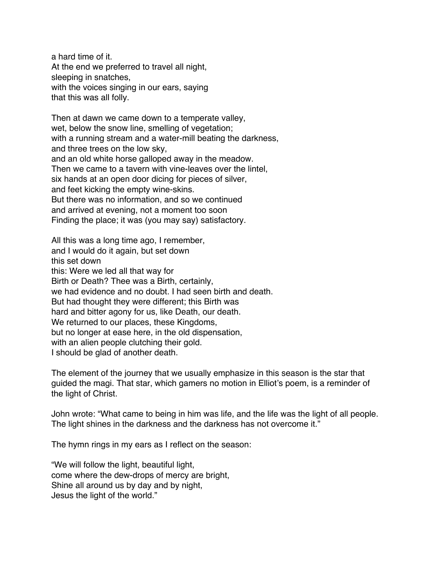a hard time of it. At the end we preferred to travel all night, sleeping in snatches, with the voices singing in our ears, saying that this was all folly.

Then at dawn we came down to a temperate valley, wet, below the snow line, smelling of vegetation; with a running stream and a water-mill beating the darkness, and three trees on the low sky, and an old white horse galloped away in the meadow. Then we came to a tavern with vine-leaves over the lintel, six hands at an open door dicing for pieces of silver, and feet kicking the empty wine-skins. But there was no information, and so we continued and arrived at evening, not a moment too soon Finding the place; it was (you may say) satisfactory.

All this was a long time ago, I remember, and I would do it again, but set down this set down this: Were we led all that way for Birth or Death? Thee was a Birth, certainly, we had evidence and no doubt. I had seen birth and death. But had thought they were different; this Birth was hard and bitter agony for us, like Death, our death. We returned to our places, these Kingdoms, but no longer at ease here, in the old dispensation, with an alien people clutching their gold. I should be glad of another death.

The element of the journey that we usually emphasize in this season is the star that guided the magi. That star, which gamers no motion in Elliot's poem, is a reminder of the light of Christ.

John wrote: "What came to being in him was life, and the life was the light of all people. The light shines in the darkness and the darkness has not overcome it."

The hymn rings in my ears as I reflect on the season:

"We will follow the light, beautiful light, come where the dew-drops of mercy are bright, Shine all around us by day and by night, Jesus the light of the world."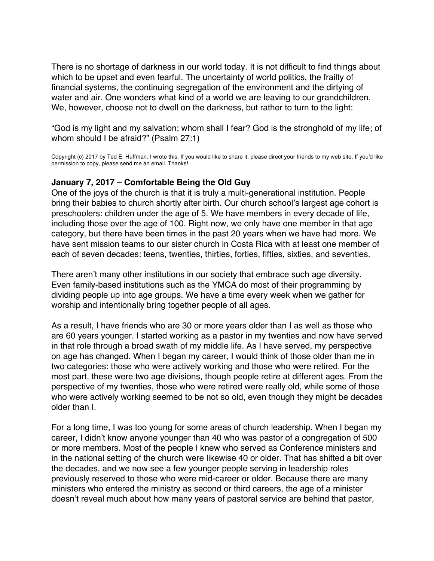<span id="page-14-0"></span>There is no shortage of darkness in our world today. It is not difficult to find things about which to be upset and even fearful. The uncertainty of world politics, the frailty of financial systems, the continuing segregation of the environment and the dirtying of water and air. One wonders what kind of a world we are leaving to our grandchildren. We, however, choose not to dwell on the darkness, but rather to turn to the light:

"God is my light and my salvation; whom shall I fear? God is the stronghold of my life; of whom should I be afraid?" (Psalm 27:1)

Copyright (c) 2017 by Ted E. Huffman. I wrote this. If you would like to share it, please direct your friends to my web site. If you'd like permission to copy, please send me an email. Thanks!

#### **January 7, 2017 – Comfortable Being the Old Guy**

One of the joys of the church is that it is truly a multi-generational institution. People bring their babies to church shortly after birth. Our church school's largest age cohort is preschoolers: children under the age of 5. We have members in every decade of life, including those over the age of 100. Right now, we only have one member in that age category, but there have been times in the past 20 years when we have had more. We have sent mission teams to our sister church in Costa Rica with at least one member of each of seven decades: teens, twenties, thirties, forties, fifties, sixties, and seventies.

There aren't many other institutions in our society that embrace such age diversity. Even family-based institutions such as the YMCA do most of their programming by dividing people up into age groups. We have a time every week when we gather for worship and intentionally bring together people of all ages.

As a result, I have friends who are 30 or more years older than I as well as those who are 60 years younger. I started working as a pastor in my twenties and now have served in that role through a broad swath of my middle life. As I have served, my perspective on age has changed. When I began my career, I would think of those older than me in two categories: those who were actively working and those who were retired. For the most part, these were two age divisions, though people retire at different ages. From the perspective of my twenties, those who were retired were really old, while some of those who were actively working seemed to be not so old, even though they might be decades older than I.

For a long time, I was too young for some areas of church leadership. When I began my career, I didn't know anyone younger than 40 who was pastor of a congregation of 500 or more members. Most of the people I knew who served as Conference ministers and in the national setting of the church were likewise 40 or older. That has shifted a bit over the decades, and we now see a few younger people serving in leadership roles previously reserved to those who were mid-career or older. Because there are many ministers who entered the ministry as second or third careers, the age of a minister doesn't reveal much about how many years of pastoral service are behind that pastor,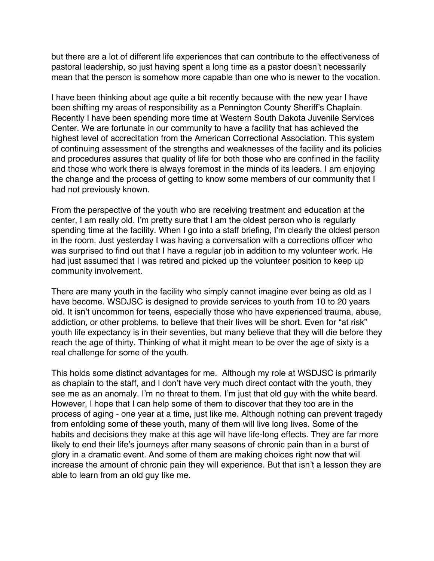but there are a lot of different life experiences that can contribute to the effectiveness of pastoral leadership, so just having spent a long time as a pastor doesn't necessarily mean that the person is somehow more capable than one who is newer to the vocation.

I have been thinking about age quite a bit recently because with the new year I have been shifting my areas of responsibility as a Pennington County Sheriff's Chaplain. Recently I have been spending more time at Western South Dakota Juvenile Services Center. We are fortunate in our community to have a facility that has achieved the highest level of accreditation from the American Correctional Association. This system of continuing assessment of the strengths and weaknesses of the facility and its policies and procedures assures that quality of life for both those who are confined in the facility and those who work there is always foremost in the minds of its leaders. I am enjoying the change and the process of getting to know some members of our community that I had not previously known.

From the perspective of the youth who are receiving treatment and education at the center, I am really old. I'm pretty sure that I am the oldest person who is regularly spending time at the facility. When I go into a staff briefing, I'm clearly the oldest person in the room. Just yesterday I was having a conversation with a corrections officer who was surprised to find out that I have a regular job in addition to my volunteer work. He had just assumed that I was retired and picked up the volunteer position to keep up community involvement.

There are many youth in the facility who simply cannot imagine ever being as old as I have become. WSDJSC is designed to provide services to youth from 10 to 20 years old. It isn't uncommon for teens, especially those who have experienced trauma, abuse, addiction, or other problems, to believe that their lives will be short. Even for "at risk" youth life expectancy is in their seventies, but many believe that they will die before they reach the age of thirty. Thinking of what it might mean to be over the age of sixty is a real challenge for some of the youth.

This holds some distinct advantages for me. Although my role at WSDJSC is primarily as chaplain to the staff, and I don't have very much direct contact with the youth, they see me as an anomaly. I'm no threat to them. I'm just that old guy with the white beard. However, I hope that I can help some of them to discover that they too are in the process of aging - one year at a time, just like me. Although nothing can prevent tragedy from enfolding some of these youth, many of them will live long lives. Some of the habits and decisions they make at this age will have life-long effects. They are far more likely to end their life's journeys after many seasons of chronic pain than in a burst of glory in a dramatic event. And some of them are making choices right now that will increase the amount of chronic pain they will experience. But that isn't a lesson they are able to learn from an old guy like me.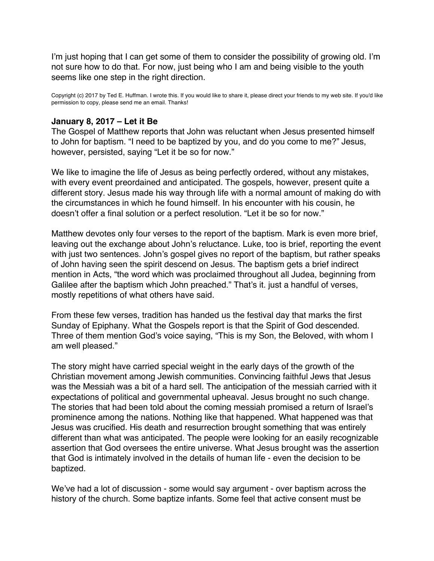<span id="page-16-0"></span>I'm just hoping that I can get some of them to consider the possibility of growing old. I'm not sure how to do that. For now, just being who I am and being visible to the youth seems like one step in the right direction.

Copyright (c) 2017 by Ted E. Huffman. I wrote this. If you would like to share it, please direct your friends to my web site. If you'd like permission to copy, please send me an email. Thanks!

#### **January 8, 2017 – Let it Be**

The Gospel of Matthew reports that John was reluctant when Jesus presented himself to John for baptism. "I need to be baptized by you, and do you come to me?" Jesus, however, persisted, saying "Let it be so for now."

We like to imagine the life of Jesus as being perfectly ordered, without any mistakes, with every event preordained and anticipated. The gospels, however, present quite a different story. Jesus made his way through life with a normal amount of making do with the circumstances in which he found himself. In his encounter with his cousin, he doesn't offer a final solution or a perfect resolution. "Let it be so for now."

Matthew devotes only four verses to the report of the baptism. Mark is even more brief, leaving out the exchange about John's reluctance. Luke, too is brief, reporting the event with just two sentences. John's gospel gives no report of the baptism, but rather speaks of John having seen the spirit descend on Jesus. The baptism gets a brief indirect mention in Acts, "the word which was proclaimed throughout all Judea, beginning from Galilee after the baptism which John preached." That's it. just a handful of verses, mostly repetitions of what others have said.

From these few verses, tradition has handed us the festival day that marks the first Sunday of Epiphany. What the Gospels report is that the Spirit of God descended. Three of them mention God's voice saying, "This is my Son, the Beloved, with whom I am well pleased."

The story might have carried special weight in the early days of the growth of the Christian movement among Jewish communities. Convincing faithful Jews that Jesus was the Messiah was a bit of a hard sell. The anticipation of the messiah carried with it expectations of political and governmental upheaval. Jesus brought no such change. The stories that had been told about the coming messiah promised a return of Israel's prominence among the nations. Nothing like that happened. What happened was that Jesus was crucified. His death and resurrection brought something that was entirely different than what was anticipated. The people were looking for an easily recognizable assertion that God oversees the entire universe. What Jesus brought was the assertion that God is intimately involved in the details of human life - even the decision to be baptized.

We've had a lot of discussion - some would say argument - over baptism across the history of the church. Some baptize infants. Some feel that active consent must be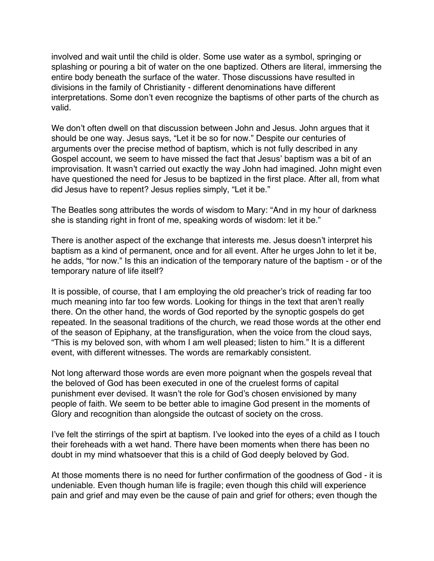involved and wait until the child is older. Some use water as a symbol, springing or splashing or pouring a bit of water on the one baptized. Others are literal, immersing the entire body beneath the surface of the water. Those discussions have resulted in divisions in the family of Christianity - different denominations have different interpretations. Some don't even recognize the baptisms of other parts of the church as valid.

We don't often dwell on that discussion between John and Jesus. John argues that it should be one way. Jesus says, "Let it be so for now." Despite our centuries of arguments over the precise method of baptism, which is not fully described in any Gospel account, we seem to have missed the fact that Jesus' baptism was a bit of an improvisation. It wasn't carried out exactly the way John had imagined. John might even have questioned the need for Jesus to be baptized in the first place. After all, from what did Jesus have to repent? Jesus replies simply, "Let it be."

The Beatles song attributes the words of wisdom to Mary: "And in my hour of darkness she is standing right in front of me, speaking words of wisdom: let it be."

There is another aspect of the exchange that interests me. Jesus doesn't interpret his baptism as a kind of permanent, once and for all event. After he urges John to let it be, he adds, "for now." Is this an indication of the temporary nature of the baptism - or of the temporary nature of life itself?

It is possible, of course, that I am employing the old preacher's trick of reading far too much meaning into far too few words. Looking for things in the text that aren't really there. On the other hand, the words of God reported by the synoptic gospels do get repeated. In the seasonal traditions of the church, we read those words at the other end of the season of Epiphany, at the transfiguration, when the voice from the cloud says, "This is my beloved son, with whom I am well pleased; listen to him." It is a different event, with different witnesses. The words are remarkably consistent.

Not long afterward those words are even more poignant when the gospels reveal that the beloved of God has been executed in one of the cruelest forms of capital punishment ever devised. It wasn't the role for God's chosen envisioned by many people of faith. We seem to be better able to imagine God present in the moments of Glory and recognition than alongside the outcast of society on the cross.

I've felt the stirrings of the spirt at baptism. I've looked into the eyes of a child as I touch their foreheads with a wet hand. There have been moments when there has been no doubt in my mind whatsoever that this is a child of God deeply beloved by God.

At those moments there is no need for further confirmation of the goodness of God - it is undeniable. Even though human life is fragile; even though this child will experience pain and grief and may even be the cause of pain and grief for others; even though the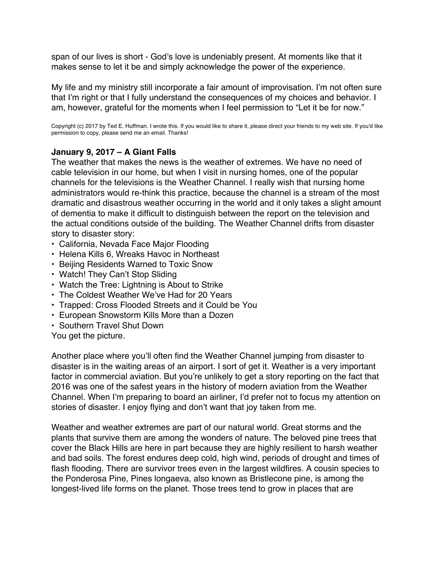<span id="page-18-0"></span>span of our lives is short - God's love is undeniably present. At moments like that it makes sense to let it be and simply acknowledge the power of the experience.

My life and my ministry still incorporate a fair amount of improvisation. I'm not often sure that I'm right or that I fully understand the consequences of my choices and behavior. I am, however, grateful for the moments when I feel permission to "Let it be for now."

Copyright (c) 2017 by Ted E. Huffman. I wrote this. If you would like to share it, please direct your friends to my web site. If you'd like permission to copy, please send me an email. Thanks!

### **January 9, 2017 – A Giant Falls**

The weather that makes the news is the weather of extremes. We have no need of cable television in our home, but when I visit in nursing homes, one of the popular channels for the televisions is the Weather Channel. I really wish that nursing home administrators would re-think this practice, because the channel is a stream of the most dramatic and disastrous weather occurring in the world and it only takes a slight amount of dementia to make it difficult to distinguish between the report on the television and the actual conditions outside of the building. The Weather Channel drifts from disaster story to disaster story:

- California, Nevada Face Major Flooding
- Helena Kills 6, Wreaks Havoc in Northeast
- Beijing Residents Warned to Toxic Snow
- Watch! They Can't Stop Sliding
- Watch the Tree: Lightning is About to Strike
- The Coldest Weather We've Had for 20 Years
- Trapped: Cross Flooded Streets and it Could be You
- European Snowstorm Kills More than a Dozen
- Southern Travel Shut Down

You get the picture.

Another place where you'll often find the Weather Channel jumping from disaster to disaster is in the waiting areas of an airport. I sort of get it. Weather is a very important factor in commercial aviation. But you're unlikely to get a story reporting on the fact that 2016 was one of the safest years in the history of modern aviation from the Weather Channel. When I'm preparing to board an airliner, I'd prefer not to focus my attention on stories of disaster. I enjoy flying and don't want that joy taken from me.

Weather and weather extremes are part of our natural world. Great storms and the plants that survive them are among the wonders of nature. The beloved pine trees that cover the Black Hills are here in part because they are highly resilient to harsh weather and bad soils. The forest endures deep cold, high wind, periods of drought and times of flash flooding. There are survivor trees even in the largest wildfires. A cousin species to the Ponderosa Pine, Pines longaeva, also known as Bristlecone pine, is among the longest-lived life forms on the planet. Those trees tend to grow in places that are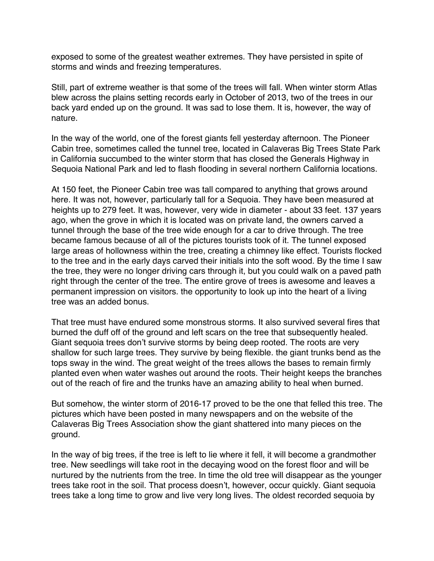exposed to some of the greatest weather extremes. They have persisted in spite of storms and winds and freezing temperatures.

Still, part of extreme weather is that some of the trees will fall. When winter storm Atlas blew across the plains setting records early in October of 2013, two of the trees in our back yard ended up on the ground. It was sad to lose them. It is, however, the way of nature.

In the way of the world, one of the forest giants fell yesterday afternoon. The Pioneer Cabin tree, sometimes called the tunnel tree, located in Calaveras Big Trees State Park in California succumbed to the winter storm that has closed the Generals Highway in Sequoia National Park and led to flash flooding in several northern California locations.

At 150 feet, the Pioneer Cabin tree was tall compared to anything that grows around here. It was not, however, particularly tall for a Sequoia. They have been measured at heights up to 279 feet. It was, however, very wide in diameter - about 33 feet. 137 years ago, when the grove in which it is located was on private land, the owners carved a tunnel through the base of the tree wide enough for a car to drive through. The tree became famous because of all of the pictures tourists took of it. The tunnel exposed large areas of hollowness within the tree, creating a chimney like effect. Tourists flocked to the tree and in the early days carved their initials into the soft wood. By the time I saw the tree, they were no longer driving cars through it, but you could walk on a paved path right through the center of the tree. The entire grove of trees is awesome and leaves a permanent impression on visitors. the opportunity to look up into the heart of a living tree was an added bonus.

That tree must have endured some monstrous storms. It also survived several fires that burned the duff off of the ground and left scars on the tree that subsequently healed. Giant sequoia trees don't survive storms by being deep rooted. The roots are very shallow for such large trees. They survive by being flexible. the giant trunks bend as the tops sway in the wind. The great weight of the trees allows the bases to remain firmly planted even when water washes out around the roots. Their height keeps the branches out of the reach of fire and the trunks have an amazing ability to heal when burned.

But somehow, the winter storm of 2016-17 proved to be the one that felled this tree. The pictures which have been posted in many newspapers and on the website of the Calaveras Big Trees Association show the giant shattered into many pieces on the ground.

In the way of big trees, if the tree is left to lie where it fell, it will become a grandmother tree. New seedlings will take root in the decaying wood on the forest floor and will be nurtured by the nutrients from the tree. In time the old tree will disappear as the younger trees take root in the soil. That process doesn't, however, occur quickly. Giant sequoia trees take a long time to grow and live very long lives. The oldest recorded sequoia by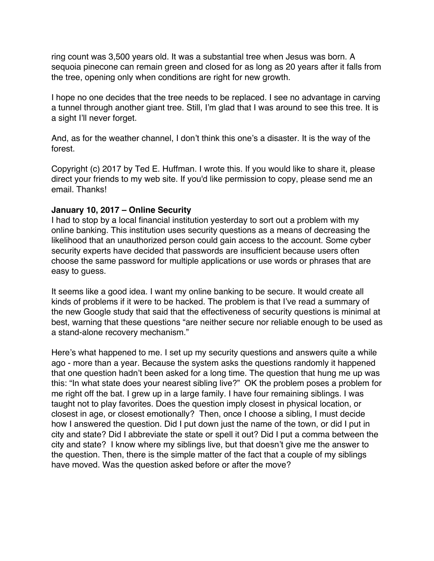<span id="page-20-0"></span>ring count was 3,500 years old. It was a substantial tree when Jesus was born. A sequoia pinecone can remain green and closed for as long as 20 years after it falls from the tree, opening only when conditions are right for new growth.

I hope no one decides that the tree needs to be replaced. I see no advantage in carving a tunnel through another giant tree. Still, I'm glad that I was around to see this tree. It is a sight I'll never forget.

And, as for the weather channel, I don't think this one's a disaster. It is the way of the forest.

Copyright (c) 2017 by Ted E. Huffman. I wrote this. If you would like to share it, please direct your friends to my web site. If you'd like permission to copy, please send me an email. Thanks!

#### **January 10, 2017 – Online Security**

I had to stop by a local financial institution yesterday to sort out a problem with my online banking. This institution uses security questions as a means of decreasing the likelihood that an unauthorized person could gain access to the account. Some cyber security experts have decided that passwords are insufficient because users often choose the same password for multiple applications or use words or phrases that are easy to guess.

It seems like a good idea. I want my online banking to be secure. It would create all kinds of problems if it were to be hacked. The problem is that I've read a summary of the new Google study that said that the effectiveness of security questions is minimal at best, warning that these questions "are neither secure nor reliable enough to be used as a stand-alone recovery mechanism."

Here's what happened to me. I set up my security questions and answers quite a while ago - more than a year. Because the system asks the questions randomly it happened that one question hadn't been asked for a long time. The question that hung me up was this: "In what state does your nearest sibling live?" OK the problem poses a problem for me right off the bat. I grew up in a large family. I have four remaining siblings. I was taught not to play favorites. Does the question imply closest in physical location, or closest in age, or closest emotionally? Then, once I choose a sibling, I must decide how I answered the question. Did I put down just the name of the town, or did I put in city and state? Did I abbreviate the state or spell it out? Did I put a comma between the city and state? I know where my siblings live, but that doesn't give me the answer to the question. Then, there is the simple matter of the fact that a couple of my siblings have moved. Was the question asked before or after the move?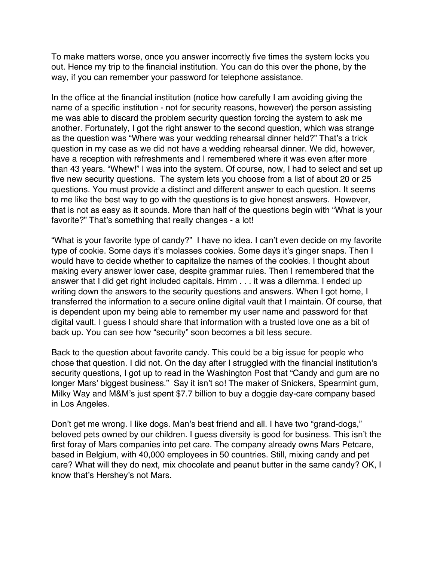To make matters worse, once you answer incorrectly five times the system locks you out. Hence my trip to the financial institution. You can do this over the phone, by the way, if you can remember your password for telephone assistance.

In the office at the financial institution (notice how carefully I am avoiding giving the name of a specific institution - not for security reasons, however) the person assisting me was able to discard the problem security question forcing the system to ask me another. Fortunately, I got the right answer to the second question, which was strange as the question was "Where was your wedding rehearsal dinner held?" That's a trick question in my case as we did not have a wedding rehearsal dinner. We did, however, have a reception with refreshments and I remembered where it was even after more than 43 years. "Whew!" I was into the system. Of course, now, I had to select and set up five new security questions. The system lets you choose from a list of about 20 or 25 questions. You must provide a distinct and different answer to each question. It seems to me like the best way to go with the questions is to give honest answers. However, that is not as easy as it sounds. More than half of the questions begin with "What is your favorite?" That's something that really changes - a lot!

"What is your favorite type of candy?" I have no idea. I can't even decide on my favorite type of cookie. Some days it's molasses cookies. Some days it's ginger snaps. Then I would have to decide whether to capitalize the names of the cookies. I thought about making every answer lower case, despite grammar rules. Then I remembered that the answer that I did get right included capitals. Hmm . . . it was a dilemma. I ended up writing down the answers to the security questions and answers. When I got home, I transferred the information to a secure online digital vault that I maintain. Of course, that is dependent upon my being able to remember my user name and password for that digital vault. I guess I should share that information with a trusted love one as a bit of back up. You can see how "security" soon becomes a bit less secure.

Back to the question about favorite candy. This could be a big issue for people who chose that question. I did not. On the day after I struggled with the financial institution's security questions, I got up to read in the Washington Post that "Candy and gum are no longer Mars' biggest business." Say it isn't so! The maker of Snickers, Spearmint gum, Milky Way and M&M's just spent \$7.7 billion to buy a doggie day-care company based in Los Angeles.

Don't get me wrong. I like dogs. Man's best friend and all. I have two "grand-dogs," beloved pets owned by our children. I guess diversity is good for business. This isn't the first foray of Mars companies into pet care. The company already owns Mars Petcare, based in Belgium, with 40,000 employees in 50 countries. Still, mixing candy and pet care? What will they do next, mix chocolate and peanut butter in the same candy? OK, I know that's Hershey's not Mars.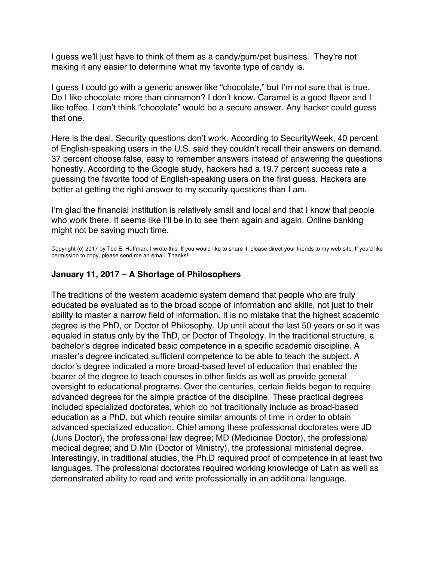<span id="page-22-0"></span>I guess we'll just have to think of them as a candy/gum/pet business. They're not making it any easier to determine what my favorite type of candy is.

I guess I could go with a generic answer like "chocolate," but I'm not sure that is true. Do I like chocolate more than cinnamon? I don't know. Caramel is a good flavor and I like toffee. I don't think "chocolate" would be a secure answer. Any hacker could guess that one.

Here is the deal. Security questions don't work. According to SecurityWeek, 40 percent of English-speaking users in the U.S. said they couldn't recall their answers on demand. 37 percent choose false, easy to remember answers instead of answering the questions honestly. According to the Google study, hackers had a 19.7 percent success rate a guessing the favorite food of English-speaking users on the first guess. Hackers are better at getting the right answer to my security questions than I am.

I'm glad the financial institution is relatively small and local and that I know that people who work there. It seems like I'll be in to see them again and again. Online banking might not be saving much time.

Copyright (c) 2017 by Ted E. Huffman. I wrote this. If you would like to share it, please direct your friends to my web site. If you'd like permission to copy, please send me an email. Thanks!

#### **January 11, 2017 – A Shortage of Philosophers**

The traditions of the western academic system demand that people who are truly educated be evaluated as to the broad scope of information and skills, not just to their ability to master a narrow field of information. It is no mistake that the highest academic degree is the PhD, or Doctor of Philosophy. Up until about the last 50 years or so it was equaled in status only by the ThD, or Doctor of Theology. In the traditional structure, a bachelor's degree indicated basic competence in a specific academic discipline. A master's degree indicated sufficient competence to be able to teach the subject. A doctor's degree indicated a more broad-based level of education that enabled the bearer of the degree to teach courses in other fields as well as provide general oversight to educational programs. Over the centuries, certain fields began to require advanced degrees for the simple practice of the discipline. These practical degrees included specialized doctorates, which do not traditionally include as broad-based education as a PhD, but which require similar amounts of time in order to obtain advanced specialized education. Chief among these professional doctorates were JD (Juris Doctor), the professional law degree; MD (Medicinae Doctor), the professional medical degree; and D.Min (Doctor of Ministry), the professional ministerial degree. Interestingly, in traditional studies, the Ph.D required proof of competence in at least two languages. The professional doctorates required working knowledge of Latin as well as demonstrated ability to read and write professionally in an additional language.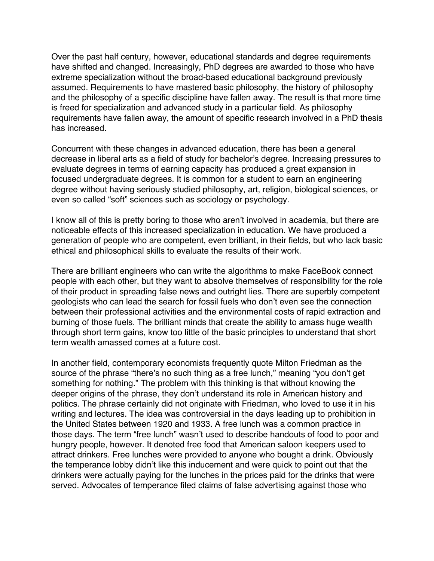Over the past half century, however, educational standards and degree requirements have shifted and changed. Increasingly, PhD degrees are awarded to those who have extreme specialization without the broad-based educational background previously assumed. Requirements to have mastered basic philosophy, the history of philosophy and the philosophy of a specific discipline have fallen away. The result is that more time is freed for specialization and advanced study in a particular field. As philosophy requirements have fallen away, the amount of specific research involved in a PhD thesis has increased.

Concurrent with these changes in advanced education, there has been a general decrease in liberal arts as a field of study for bachelor's degree. Increasing pressures to evaluate degrees in terms of earning capacity has produced a great expansion in focused undergraduate degrees. It is common for a student to earn an engineering degree without having seriously studied philosophy, art, religion, biological sciences, or even so called "soft" sciences such as sociology or psychology.

I know all of this is pretty boring to those who aren't involved in academia, but there are noticeable effects of this increased specialization in education. We have produced a generation of people who are competent, even brilliant, in their fields, but who lack basic ethical and philosophical skills to evaluate the results of their work.

There are brilliant engineers who can write the algorithms to make FaceBook connect people with each other, but they want to absolve themselves of responsibility for the role of their product in spreading false news and outright lies. There are superbly competent geologists who can lead the search for fossil fuels who don't even see the connection between their professional activities and the environmental costs of rapid extraction and burning of those fuels. The brilliant minds that create the ability to amass huge wealth through short term gains, know too little of the basic principles to understand that short term wealth amassed comes at a future cost.

In another field, contemporary economists frequently quote Milton Friedman as the source of the phrase "there's no such thing as a free lunch," meaning "you don't get something for nothing." The problem with this thinking is that without knowing the deeper origins of the phrase, they don't understand its role in American history and politics. The phrase certainly did not originate with Friedman, who loved to use it in his writing and lectures. The idea was controversial in the days leading up to prohibition in the United States between 1920 and 1933. A free lunch was a common practice in those days. The term "free lunch" wasn't used to describe handouts of food to poor and hungry people, however. It denoted free food that American saloon keepers used to attract drinkers. Free lunches were provided to anyone who bought a drink. Obviously the temperance lobby didn't like this inducement and were quick to point out that the drinkers were actually paying for the lunches in the prices paid for the drinks that were served. Advocates of temperance filed claims of false advertising against those who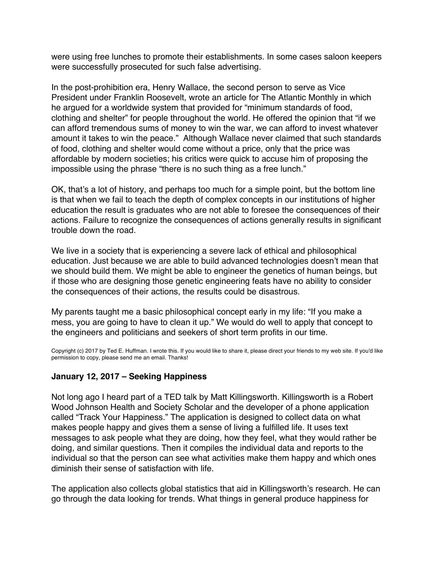<span id="page-24-0"></span>were using free lunches to promote their establishments. In some cases saloon keepers were successfully prosecuted for such false advertising.

In the post-prohibition era, Henry Wallace, the second person to serve as Vice President under Franklin Roosevelt, wrote an article for The Atlantic Monthly in which he argued for a worldwide system that provided for "minimum standards of food, clothing and shelter" for people throughout the world. He offered the opinion that "if we can afford tremendous sums of money to win the war, we can afford to invest whatever amount it takes to win the peace." Although Wallace never claimed that such standards of food, clothing and shelter would come without a price, only that the price was affordable by modern societies; his critics were quick to accuse him of proposing the impossible using the phrase "there is no such thing as a free lunch."

OK, that's a lot of history, and perhaps too much for a simple point, but the bottom line is that when we fail to teach the depth of complex concepts in our institutions of higher education the result is graduates who are not able to foresee the consequences of their actions. Failure to recognize the consequences of actions generally results in significant trouble down the road.

We live in a society that is experiencing a severe lack of ethical and philosophical education. Just because we are able to build advanced technologies doesn't mean that we should build them. We might be able to engineer the genetics of human beings, but if those who are designing those genetic engineering feats have no ability to consider the consequences of their actions, the results could be disastrous.

My parents taught me a basic philosophical concept early in my life: "If you make a mess, you are going to have to clean it up." We would do well to apply that concept to the engineers and politicians and seekers of short term profits in our time.

Copyright (c) 2017 by Ted E. Huffman. I wrote this. If you would like to share it, please direct your friends to my web site. If you'd like permission to copy, please send me an email. Thanks!

# **January 12, 2017 – Seeking Happiness**

Not long ago I heard part of a TED talk by Matt Killingsworth. Killingsworth is a Robert Wood Johnson Health and Society Scholar and the developer of a phone application called "Track Your Happiness." The application is designed to collect data on what makes people happy and gives them a sense of living a fulfilled life. It uses text messages to ask people what they are doing, how they feel, what they would rather be doing, and similar questions. Then it compiles the individual data and reports to the individual so that the person can see what activities make them happy and which ones diminish their sense of satisfaction with life.

The application also collects global statistics that aid in Killingsworth's research. He can go through the data looking for trends. What things in general produce happiness for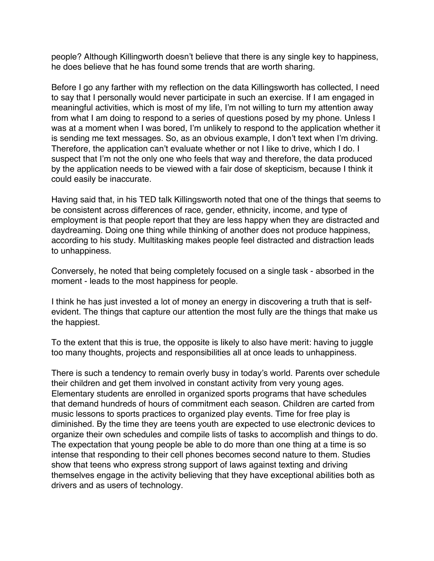people? Although Killingworth doesn't believe that there is any single key to happiness, he does believe that he has found some trends that are worth sharing.

Before I go any farther with my reflection on the data Killingsworth has collected, I need to say that I personally would never participate in such an exercise. If I am engaged in meaningful activities, which is most of my life, I'm not willing to turn my attention away from what I am doing to respond to a series of questions posed by my phone. Unless I was at a moment when I was bored, I'm unlikely to respond to the application whether it is sending me text messages. So, as an obvious example, I don't text when I'm driving. Therefore, the application can't evaluate whether or not I like to drive, which I do. I suspect that I'm not the only one who feels that way and therefore, the data produced by the application needs to be viewed with a fair dose of skepticism, because I think it could easily be inaccurate.

Having said that, in his TED talk Killingsworth noted that one of the things that seems to be consistent across differences of race, gender, ethnicity, income, and type of employment is that people report that they are less happy when they are distracted and daydreaming. Doing one thing while thinking of another does not produce happiness, according to his study. Multitasking makes people feel distracted and distraction leads to unhappiness.

Conversely, he noted that being completely focused on a single task - absorbed in the moment - leads to the most happiness for people.

I think he has just invested a lot of money an energy in discovering a truth that is selfevident. The things that capture our attention the most fully are the things that make us the happiest.

To the extent that this is true, the opposite is likely to also have merit: having to juggle too many thoughts, projects and responsibilities all at once leads to unhappiness.

There is such a tendency to remain overly busy in today's world. Parents over schedule their children and get them involved in constant activity from very young ages. Elementary students are enrolled in organized sports programs that have schedules that demand hundreds of hours of commitment each season. Children are carted from music lessons to sports practices to organized play events. Time for free play is diminished. By the time they are teens youth are expected to use electronic devices to organize their own schedules and compile lists of tasks to accomplish and things to do. The expectation that young people be able to do more than one thing at a time is so intense that responding to their cell phones becomes second nature to them. Studies show that teens who express strong support of laws against texting and driving themselves engage in the activity believing that they have exceptional abilities both as drivers and as users of technology.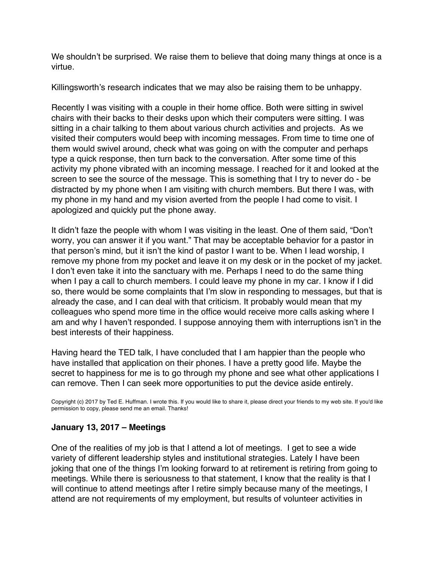<span id="page-26-0"></span>We shouldn't be surprised. We raise them to believe that doing many things at once is a virtue.

Killingsworth's research indicates that we may also be raising them to be unhappy.

Recently I was visiting with a couple in their home office. Both were sitting in swivel chairs with their backs to their desks upon which their computers were sitting. I was sitting in a chair talking to them about various church activities and projects. As we visited their computers would beep with incoming messages. From time to time one of them would swivel around, check what was going on with the computer and perhaps type a quick response, then turn back to the conversation. After some time of this activity my phone vibrated with an incoming message. I reached for it and looked at the screen to see the source of the message. This is something that I try to never do - be distracted by my phone when I am visiting with church members. But there I was, with my phone in my hand and my vision averted from the people I had come to visit. I apologized and quickly put the phone away.

It didn't faze the people with whom I was visiting in the least. One of them said, "Don't worry, you can answer it if you want." That may be acceptable behavior for a pastor in that person's mind, but it isn't the kind of pastor I want to be. When I lead worship, I remove my phone from my pocket and leave it on my desk or in the pocket of my jacket. I don't even take it into the sanctuary with me. Perhaps I need to do the same thing when I pay a call to church members. I could leave my phone in my car. I know if I did so, there would be some complaints that I'm slow in responding to messages, but that is already the case, and I can deal with that criticism. It probably would mean that my colleagues who spend more time in the office would receive more calls asking where I am and why I haven't responded. I suppose annoying them with interruptions isn't in the best interests of their happiness.

Having heard the TED talk, I have concluded that I am happier than the people who have installed that application on their phones. I have a pretty good life. Maybe the secret to happiness for me is to go through my phone and see what other applications I can remove. Then I can seek more opportunities to put the device aside entirely.

Copyright (c) 2017 by Ted E. Huffman. I wrote this. If you would like to share it, please direct your friends to my web site. If you'd like permission to copy, please send me an email. Thanks!

# **January 13, 2017 – Meetings**

One of the realities of my job is that I attend a lot of meetings. I get to see a wide variety of different leadership styles and institutional strategies. Lately I have been joking that one of the things I'm looking forward to at retirement is retiring from going to meetings. While there is seriousness to that statement, I know that the reality is that I will continue to attend meetings after I retire simply because many of the meetings, I attend are not requirements of my employment, but results of volunteer activities in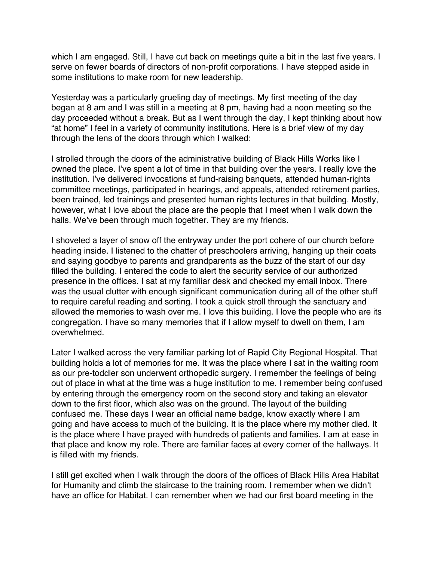which I am engaged. Still, I have cut back on meetings quite a bit in the last five years. I serve on fewer boards of directors of non-profit corporations. I have stepped aside in some institutions to make room for new leadership.

Yesterday was a particularly grueling day of meetings. My first meeting of the day began at 8 am and I was still in a meeting at 8 pm, having had a noon meeting so the day proceeded without a break. But as I went through the day, I kept thinking about how "at home" I feel in a variety of community institutions. Here is a brief view of my day through the lens of the doors through which I walked:

I strolled through the doors of the administrative building of Black Hills Works like I owned the place. I've spent a lot of time in that building over the years. I really love the institution. I've delivered invocations at fund-raising banquets, attended human-rights committee meetings, participated in hearings, and appeals, attended retirement parties, been trained, led trainings and presented human rights lectures in that building. Mostly, however, what I love about the place are the people that I meet when I walk down the halls. We've been through much together. They are my friends.

I shoveled a layer of snow off the entryway under the port cohere of our church before heading inside. I listened to the chatter of preschoolers arriving, hanging up their coats and saying goodbye to parents and grandparents as the buzz of the start of our day filled the building. I entered the code to alert the security service of our authorized presence in the offices. I sat at my familiar desk and checked my email inbox. There was the usual clutter with enough significant communication during all of the other stuff to require careful reading and sorting. I took a quick stroll through the sanctuary and allowed the memories to wash over me. I love this building. I love the people who are its congregation. I have so many memories that if I allow myself to dwell on them, I am overwhelmed.

Later I walked across the very familiar parking lot of Rapid City Regional Hospital. That building holds a lot of memories for me. It was the place where I sat in the waiting room as our pre-toddler son underwent orthopedic surgery. I remember the feelings of being out of place in what at the time was a huge institution to me. I remember being confused by entering through the emergency room on the second story and taking an elevator down to the first floor, which also was on the ground. The layout of the building confused me. These days I wear an official name badge, know exactly where I am going and have access to much of the building. It is the place where my mother died. It is the place where I have prayed with hundreds of patients and families. I am at ease in that place and know my role. There are familiar faces at every corner of the hallways. It is filled with my friends.

I still get excited when I walk through the doors of the offices of Black Hills Area Habitat for Humanity and climb the staircase to the training room. I remember when we didn't have an office for Habitat. I can remember when we had our first board meeting in the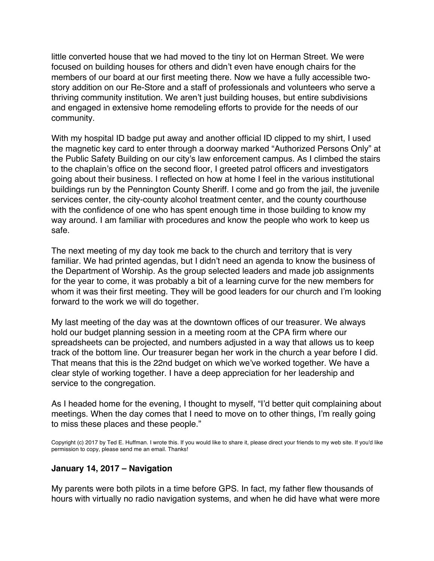little converted house that we had moved to the tiny lot on Herman Street. We were focused on building houses for others and didn't even have enough chairs for the members of our board at our first meeting there. Now we have a fully accessible twostory addition on our Re-Store and a staff of professionals and volunteers who serve a thriving community institution. We aren't just building houses, but entire subdivisions and engaged in extensive home remodeling efforts to provide for the needs of our community.

With my hospital ID badge put away and another official ID clipped to my shirt, I used the magnetic key card to enter through a doorway marked "Authorized Persons Only" at the Public Safety Building on our city's law enforcement campus. As I climbed the stairs to the chaplain's office on the second floor, I greeted patrol officers and investigators going about their business. I reflected on how at home I feel in the various institutional buildings run by the Pennington County Sheriff. I come and go from the jail, the juvenile services center, the city-county alcohol treatment center, and the county courthouse with the confidence of one who has spent enough time in those building to know my way around. I am familiar with procedures and know the people who work to keep us safe.

The next meeting of my day took me back to the church and territory that is very familiar. We had printed agendas, but I didn't need an agenda to know the business of the Department of Worship. As the group selected leaders and made job assignments for the year to come, it was probably a bit of a learning curve for the new members for whom it was their first meeting. They will be good leaders for our church and I'm looking forward to the work we will do together.

My last meeting of the day was at the downtown offices of our treasurer. We always hold our budget planning session in a meeting room at the CPA firm where our spreadsheets can be projected, and numbers adjusted in a way that allows us to keep track of the bottom line. Our treasurer began her work in the church a year before I did. That means that this is the 22nd budget on which we've worked together. We have a clear style of working together. I have a deep appreciation for her leadership and service to the congregation.

As I headed home for the evening, I thought to myself, "I'd better quit complaining about meetings. When the day comes that I need to move on to other things, I'm really going to miss these places and these people."

Copyright (c) 2017 by Ted E. Huffman. I wrote this. If you would like to share it, please direct your friends to my web site. If you'd like permission to copy, please send me an email. Thanks!

#### **January 14, 2017 – Navigation**

My parents were both pilots in a time before GPS. In fact, my father flew thousands of hours with virtually no radio navigation systems, and when he did have what were more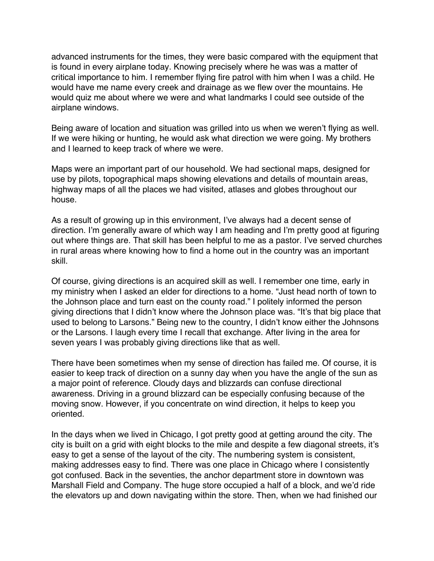<span id="page-29-0"></span>advanced instruments for the times, they were basic compared with the equipment that is found in every airplane today. Knowing precisely where he was was a matter of critical importance to him. I remember flying fire patrol with him when I was a child. He would have me name every creek and drainage as we flew over the mountains. He would quiz me about where we were and what landmarks I could see outside of the airplane windows.

Being aware of location and situation was grilled into us when we weren't flying as well. If we were hiking or hunting, he would ask what direction we were going. My brothers and I learned to keep track of where we were.

Maps were an important part of our household. We had sectional maps, designed for use by pilots, topographical maps showing elevations and details of mountain areas, highway maps of all the places we had visited, atlases and globes throughout our house.

As a result of growing up in this environment, I've always had a decent sense of direction. I'm generally aware of which way I am heading and I'm pretty good at figuring out where things are. That skill has been helpful to me as a pastor. I've served churches in rural areas where knowing how to find a home out in the country was an important skill.

Of course, giving directions is an acquired skill as well. I remember one time, early in my ministry when I asked an elder for directions to a home. "Just head north of town to the Johnson place and turn east on the county road." I politely informed the person giving directions that I didn't know where the Johnson place was. "It's that big place that used to belong to Larsons." Being new to the country, I didn't know either the Johnsons or the Larsons. I laugh every time I recall that exchange. After living in the area for seven years I was probably giving directions like that as well.

There have been sometimes when my sense of direction has failed me. Of course, it is easier to keep track of direction on a sunny day when you have the angle of the sun as a major point of reference. Cloudy days and blizzards can confuse directional awareness. Driving in a ground blizzard can be especially confusing because of the moving snow. However, if you concentrate on wind direction, it helps to keep you oriented.

In the days when we lived in Chicago, I got pretty good at getting around the city. The city is built on a grid with eight blocks to the mile and despite a few diagonal streets, it's easy to get a sense of the layout of the city. The numbering system is consistent, making addresses easy to find. There was one place in Chicago where I consistently got confused. Back in the seventies, the anchor department store in downtown was Marshall Field and Company. The huge store occupied a half of a block, and we'd ride the elevators up and down navigating within the store. Then, when we had finished our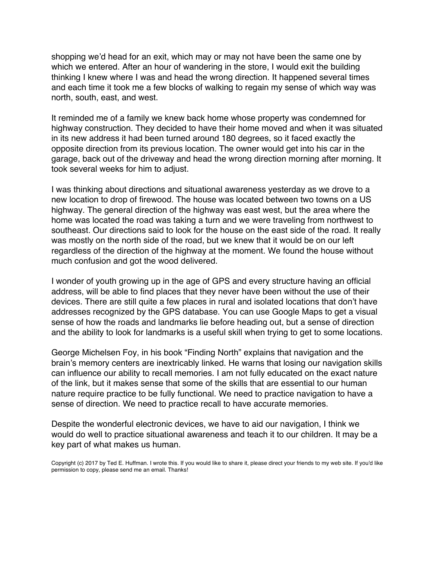shopping we'd head for an exit, which may or may not have been the same one by which we entered. After an hour of wandering in the store, I would exit the building thinking I knew where I was and head the wrong direction. It happened several times and each time it took me a few blocks of walking to regain my sense of which way was north, south, east, and west.

It reminded me of a family we knew back home whose property was condemned for highway construction. They decided to have their home moved and when it was situated in its new address it had been turned around 180 degrees, so it faced exactly the opposite direction from its previous location. The owner would get into his car in the garage, back out of the driveway and head the wrong direction morning after morning. It took several weeks for him to adjust.

I was thinking about directions and situational awareness yesterday as we drove to a new location to drop of firewood. The house was located between two towns on a US highway. The general direction of the highway was east west, but the area where the home was located the road was taking a turn and we were traveling from northwest to southeast. Our directions said to look for the house on the east side of the road. It really was mostly on the north side of the road, but we knew that it would be on our left regardless of the direction of the highway at the moment. We found the house without much confusion and got the wood delivered.

I wonder of youth growing up in the age of GPS and every structure having an official address, will be able to find places that they never have been without the use of their devices. There are still quite a few places in rural and isolated locations that don't have addresses recognized by the GPS database. You can use Google Maps to get a visual sense of how the roads and landmarks lie before heading out, but a sense of direction and the ability to look for landmarks is a useful skill when trying to get to some locations.

George Michelsen Foy, in his book "Finding North" explains that navigation and the brain's memory centers are inextricably linked. He warns that losing our navigation skills can influence our ability to recall memories. I am not fully educated on the exact nature of the link, but it makes sense that some of the skills that are essential to our human nature require practice to be fully functional. We need to practice navigation to have a sense of direction. We need to practice recall to have accurate memories.

Despite the wonderful electronic devices, we have to aid our navigation, I think we would do well to practice situational awareness and teach it to our children. It may be a key part of what makes us human.

Copyright (c) 2017 by Ted E. Huffman. I wrote this. If you would like to share it, please direct your friends to my web site. If you'd like permission to copy, please send me an email. Thanks!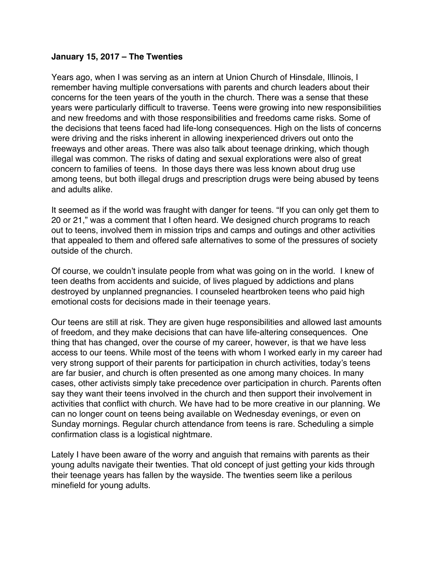#### <span id="page-31-0"></span>**January 15, 2017 – The Twenties**

Years ago, when I was serving as an intern at Union Church of Hinsdale, Illinois, I remember having multiple conversations with parents and church leaders about their concerns for the teen years of the youth in the church. There was a sense that these years were particularly difficult to traverse. Teens were growing into new responsibilities and new freedoms and with those responsibilities and freedoms came risks. Some of the decisions that teens faced had life-long consequences. High on the lists of concerns were driving and the risks inherent in allowing inexperienced drivers out onto the freeways and other areas. There was also talk about teenage drinking, which though illegal was common. The risks of dating and sexual explorations were also of great concern to families of teens. In those days there was less known about drug use among teens, but both illegal drugs and prescription drugs were being abused by teens and adults alike.

It seemed as if the world was fraught with danger for teens. "If you can only get them to 20 or 21," was a comment that I often heard. We designed church programs to reach out to teens, involved them in mission trips and camps and outings and other activities that appealed to them and offered safe alternatives to some of the pressures of society outside of the church.

Of course, we couldn't insulate people from what was going on in the world. I knew of teen deaths from accidents and suicide, of lives plagued by addictions and plans destroyed by unplanned pregnancies. I counseled heartbroken teens who paid high emotional costs for decisions made in their teenage years.

Our teens are still at risk. They are given huge responsibilities and allowed last amounts of freedom, and they make decisions that can have life-altering consequences. One thing that has changed, over the course of my career, however, is that we have less access to our teens. While most of the teens with whom I worked early in my career had very strong support of their parents for participation in church activities, today's teens are far busier, and church is often presented as one among many choices. In many cases, other activists simply take precedence over participation in church. Parents often say they want their teens involved in the church and then support their involvement in activities that conflict with church. We have had to be more creative in our planning. We can no longer count on teens being available on Wednesday evenings, or even on Sunday mornings. Regular church attendance from teens is rare. Scheduling a simple confirmation class is a logistical nightmare.

Lately I have been aware of the worry and anguish that remains with parents as their young adults navigate their twenties. That old concept of just getting your kids through their teenage years has fallen by the wayside. The twenties seem like a perilous minefield for young adults.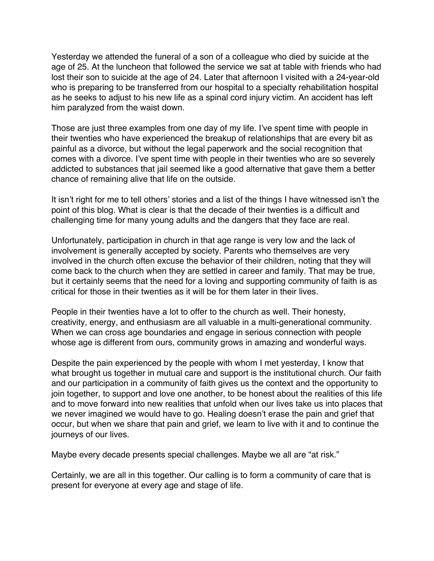Yesterday we attended the funeral of a son of a colleague who died by suicide at the age of 25. At the luncheon that followed the service we sat at table with friends who had lost their son to suicide at the age of 24. Later that afternoon I visited with a 24-year-old who is preparing to be transferred from our hospital to a specialty rehabilitation hospital as he seeks to adjust to his new life as a spinal cord injury victim. An accident has left him paralyzed from the waist down.

Those are just three examples from one day of my life. I've spent time with people in their twenties who have experienced the breakup of relationships that are every bit as painful as a divorce, but without the legal paperwork and the social recognition that comes with a divorce. I've spent time with people in their twenties who are so severely addicted to substances that jail seemed like a good alternative that gave them a better chance of remaining alive that life on the outside.

It isn't right for me to tell others' stories and a list of the things I have witnessed isn't the point of this blog. What is clear is that the decade of their twenties is a difficult and challenging time for many young adults and the dangers that they face are real.

Unfortunately, participation in church in that age range is very low and the lack of involvement is generally accepted by society. Parents who themselves are very involved in the church often excuse the behavior of their children, noting that they will come back to the church when they are settled in career and family. That may be true, but it certainly seems that the need for a loving and supporting community of faith is as critical for those in their twenties as it will be for them later in their lives.

People in their twenties have a lot to offer to the church as well. Their honesty, creativity, energy, and enthusiasm are all valuable in a multi-generational community. When we can cross age boundaries and engage in serious connection with people whose age is different from ours, community grows in amazing and wonderful ways.

Despite the pain experienced by the people with whom I met yesterday, I know that what brought us together in mutual care and support is the institutional church. Our faith and our participation in a community of faith gives us the context and the opportunity to join together, to support and love one another, to be honest about the realities of this life and to move forward into new realities that unfold when our lives take us into places that we never imagined we would have to go. Healing doesn't erase the pain and grief that occur, but when we share that pain and grief, we learn to live with it and to continue the journeys of our lives.

Maybe every decade presents special challenges. Maybe we all are "at risk."

Certainly, we are all in this together. Our calling is to form a community of care that is present for everyone at every age and stage of life.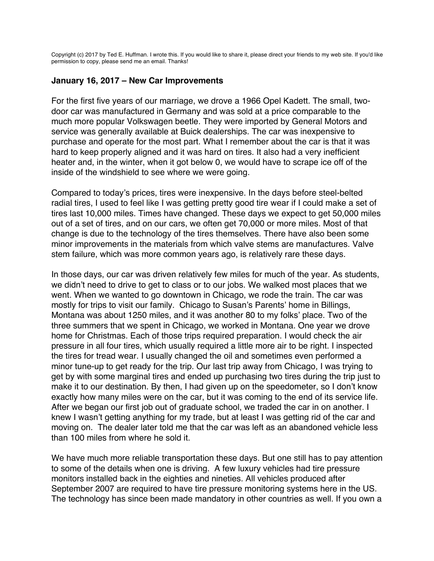<span id="page-33-0"></span>Copyright (c) 2017 by Ted E. Huffman. I wrote this. If you would like to share it, please direct your friends to my web site. If you'd like permission to copy, please send me an email. Thanks!

#### **January 16, 2017 – New Car Improvements**

For the first five years of our marriage, we drove a 1966 Opel Kadett. The small, twodoor car was manufactured in Germany and was sold at a price comparable to the much more popular Volkswagen beetle. They were imported by General Motors and service was generally available at Buick dealerships. The car was inexpensive to purchase and operate for the most part. What I remember about the car is that it was hard to keep properly aligned and it was hard on tires. It also had a very inefficient heater and, in the winter, when it got below 0, we would have to scrape ice off of the inside of the windshield to see where we were going.

Compared to today's prices, tires were inexpensive. In the days before steel-belted radial tires, I used to feel like I was getting pretty good tire wear if I could make a set of tires last 10,000 miles. Times have changed. These days we expect to get 50,000 miles out of a set of tires, and on our cars, we often get 70,000 or more miles. Most of that change is due to the technology of the tires themselves. There have also been some minor improvements in the materials from which valve stems are manufactures. Valve stem failure, which was more common years ago, is relatively rare these days.

In those days, our car was driven relatively few miles for much of the year. As students, we didn't need to drive to get to class or to our jobs. We walked most places that we went. When we wanted to go downtown in Chicago, we rode the train. The car was mostly for trips to visit our family. Chicago to Susan's Parents' home in Billings, Montana was about 1250 miles, and it was another 80 to my folks' place. Two of the three summers that we spent in Chicago, we worked in Montana. One year we drove home for Christmas. Each of those trips required preparation. I would check the air pressure in all four tires, which usually required a little more air to be right. I inspected the tires for tread wear. I usually changed the oil and sometimes even performed a minor tune-up to get ready for the trip. Our last trip away from Chicago, I was trying to get by with some marginal tires and ended up purchasing two tires during the trip just to make it to our destination. By then, I had given up on the speedometer, so I don't know exactly how many miles were on the car, but it was coming to the end of its service life. After we began our first job out of graduate school, we traded the car in on another. I knew I wasn't getting anything for my trade, but at least I was getting rid of the car and moving on. The dealer later told me that the car was left as an abandoned vehicle less than 100 miles from where he sold it.

We have much more reliable transportation these days. But one still has to pay attention to some of the details when one is driving. A few luxury vehicles had tire pressure monitors installed back in the eighties and nineties. All vehicles produced after September 2007 are required to have tire pressure monitoring systems here in the US. The technology has since been made mandatory in other countries as well. If you own a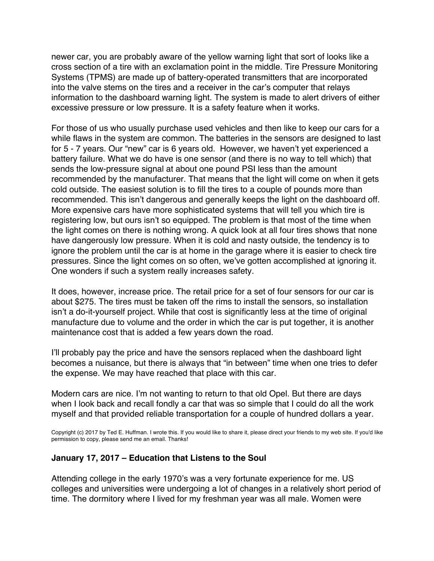newer car, you are probably aware of the yellow warning light that sort of looks like a cross section of a tire with an exclamation point in the middle. Tire Pressure Monitoring Systems (TPMS) are made up of battery-operated transmitters that are incorporated into the valve stems on the tires and a receiver in the car's computer that relays information to the dashboard warning light. The system is made to alert drivers of either excessive pressure or low pressure. It is a safety feature when it works.

For those of us who usually purchase used vehicles and then like to keep our cars for a while flaws in the system are common. The batteries in the sensors are designed to last for 5 - 7 years. Our "new" car is 6 years old. However, we haven't yet experienced a battery failure. What we do have is one sensor (and there is no way to tell which) that sends the low-pressure signal at about one pound PSI less than the amount recommended by the manufacturer. That means that the light will come on when it gets cold outside. The easiest solution is to fill the tires to a couple of pounds more than recommended. This isn't dangerous and generally keeps the light on the dashboard off. More expensive cars have more sophisticated systems that will tell you which tire is registering low, but ours isn't so equipped. The problem is that most of the time when the light comes on there is nothing wrong. A quick look at all four tires shows that none have dangerously low pressure. When it is cold and nasty outside, the tendency is to ignore the problem until the car is at home in the garage where it is easier to check tire pressures. Since the light comes on so often, we've gotten accomplished at ignoring it. One wonders if such a system really increases safety.

It does, however, increase price. The retail price for a set of four sensors for our car is about \$275. The tires must be taken off the rims to install the sensors, so installation isn't a do-it-yourself project. While that cost is significantly less at the time of original manufacture due to volume and the order in which the car is put together, it is another maintenance cost that is added a few years down the road.

I'll probably pay the price and have the sensors replaced when the dashboard light becomes a nuisance, but there is always that "in between" time when one tries to defer the expense. We may have reached that place with this car.

Modern cars are nice. I'm not wanting to return to that old Opel. But there are days when I look back and recall fondly a car that was so simple that I could do all the work myself and that provided reliable transportation for a couple of hundred dollars a year.

Copyright (c) 2017 by Ted E. Huffman. I wrote this. If you would like to share it, please direct your friends to my web site. If you'd like permission to copy, please send me an email. Thanks!

#### **January 17, 2017 – Education that Listens to the Soul**

Attending college in the early 1970's was a very fortunate experience for me. US colleges and universities were undergoing a lot of changes in a relatively short period of time. The dormitory where I lived for my freshman year was all male. Women were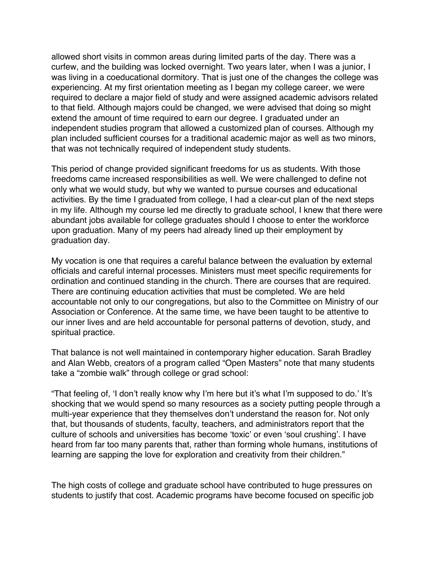<span id="page-35-0"></span>allowed short visits in common areas during limited parts of the day. There was a curfew, and the building was locked overnight. Two years later, when I was a junior, I was living in a coeducational dormitory. That is just one of the changes the college was experiencing. At my first orientation meeting as I began my college career, we were required to declare a major field of study and were assigned academic advisors related to that field. Although majors could be changed, we were advised that doing so might extend the amount of time required to earn our degree. I graduated under an independent studies program that allowed a customized plan of courses. Although my plan included sufficient courses for a traditional academic major as well as two minors, that was not technically required of independent study students.

This period of change provided significant freedoms for us as students. With those freedoms came increased responsibilities as well. We were challenged to define not only what we would study, but why we wanted to pursue courses and educational activities. By the time I graduated from college, I had a clear-cut plan of the next steps in my life. Although my course led me directly to graduate school, I knew that there were abundant jobs available for college graduates should I choose to enter the workforce upon graduation. Many of my peers had already lined up their employment by graduation day.

My vocation is one that requires a careful balance between the evaluation by external officials and careful internal processes. Ministers must meet specific requirements for ordination and continued standing in the church. There are courses that are required. There are continuing education activities that must be completed. We are held accountable not only to our congregations, but also to the Committee on Ministry of our Association or Conference. At the same time, we have been taught to be attentive to our inner lives and are held accountable for personal patterns of devotion, study, and spiritual practice.

That balance is not well maintained in contemporary higher education. Sarah Bradley and Alan Webb, creators of a program called "Open Masters" note that many students take a "zombie walk" through college or grad school:

"That feeling of, 'I don't really know why I'm here but it's what I'm supposed to do.' It's shocking that we would spend so many resources as a society putting people through a multi-year experience that they themselves don't understand the reason for. Not only that, but thousands of students, faculty, teachers, and administrators report that the culture of schools and universities has become 'toxic' or even 'soul crushing'. I have heard from far too many parents that, rather than forming whole humans, institutions of learning are sapping the love for exploration and creativity from their children."

The high costs of college and graduate school have contributed to huge pressures on students to justify that cost. Academic programs have become focused on specific job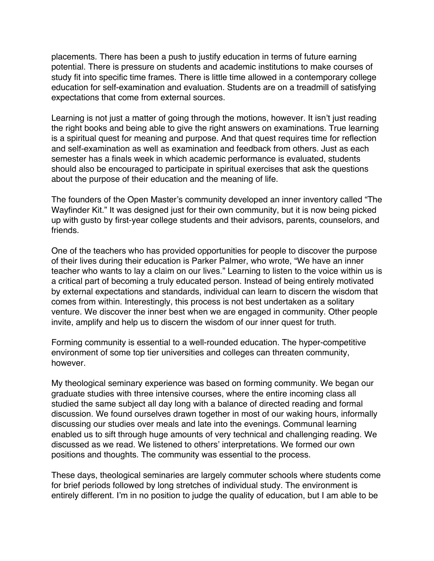placements. There has been a push to justify education in terms of future earning potential. There is pressure on students and academic institutions to make courses of study fit into specific time frames. There is little time allowed in a contemporary college education for self-examination and evaluation. Students are on a treadmill of satisfying expectations that come from external sources.

Learning is not just a matter of going through the motions, however. It isn't just reading the right books and being able to give the right answers on examinations. True learning is a spiritual quest for meaning and purpose. And that quest requires time for reflection and self-examination as well as examination and feedback from others. Just as each semester has a finals week in which academic performance is evaluated, students should also be encouraged to participate in spiritual exercises that ask the questions about the purpose of their education and the meaning of life.

The founders of the Open Master's community developed an inner inventory called "The Wayfinder Kit." It was designed just for their own community, but it is now being picked up with gusto by first-year college students and their advisors, parents, counselors, and friends.

One of the teachers who has provided opportunities for people to discover the purpose of their lives during their education is Parker Palmer, who wrote, "We have an inner teacher who wants to lay a claim on our lives." Learning to listen to the voice within us is a critical part of becoming a truly educated person. Instead of being entirely motivated by external expectations and standards, individual can learn to discern the wisdom that comes from within. Interestingly, this process is not best undertaken as a solitary venture. We discover the inner best when we are engaged in community. Other people invite, amplify and help us to discern the wisdom of our inner quest for truth.

Forming community is essential to a well-rounded education. The hyper-competitive environment of some top tier universities and colleges can threaten community, however.

My theological seminary experience was based on forming community. We began our graduate studies with three intensive courses, where the entire incoming class all studied the same subject all day long with a balance of directed reading and formal discussion. We found ourselves drawn together in most of our waking hours, informally discussing our studies over meals and late into the evenings. Communal learning enabled us to sift through huge amounts of very technical and challenging reading. We discussed as we read. We listened to others' interpretations. We formed our own positions and thoughts. The community was essential to the process.

These days, theological seminaries are largely commuter schools where students come for brief periods followed by long stretches of individual study. The environment is entirely different. I'm in no position to judge the quality of education, but I am able to be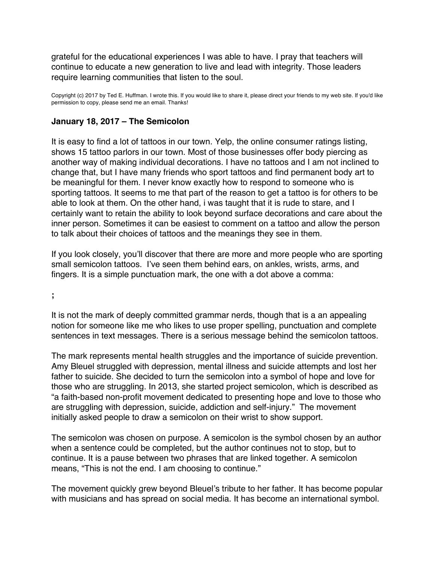<span id="page-37-0"></span>grateful for the educational experiences I was able to have. I pray that teachers will continue to educate a new generation to live and lead with integrity. Those leaders require learning communities that listen to the soul.

Copyright (c) 2017 by Ted E. Huffman. I wrote this. If you would like to share it, please direct your friends to my web site. If you'd like permission to copy, please send me an email. Thanks!

### **January 18, 2017 – The Semicolon**

It is easy to find a lot of tattoos in our town. Yelp, the online consumer ratings listing, shows 15 tattoo parlors in our town. Most of those businesses offer body piercing as another way of making individual decorations. I have no tattoos and I am not inclined to change that, but I have many friends who sport tattoos and find permanent body art to be meaningful for them. I never know exactly how to respond to someone who is sporting tattoos. It seems to me that part of the reason to get a tattoo is for others to be able to look at them. On the other hand, i was taught that it is rude to stare, and I certainly want to retain the ability to look beyond surface decorations and care about the inner person. Sometimes it can be easiest to comment on a tattoo and allow the person to talk about their choices of tattoos and the meanings they see in them.

If you look closely, you'll discover that there are more and more people who are sporting small semicolon tattoos. I've seen them behind ears, on ankles, wrists, arms, and fingers. It is a simple punctuation mark, the one with a dot above a comma:

**;**

It is not the mark of deeply committed grammar nerds, though that is a an appealing notion for someone like me who likes to use proper spelling, punctuation and complete sentences in text messages. There is a serious message behind the semicolon tattoos.

The mark represents mental health struggles and the importance of suicide prevention. Amy Bleuel struggled with depression, mental illness and suicide attempts and lost her father to suicide. She decided to turn the semicolon into a symbol of hope and love for those who are struggling. In 2013, she started project semicolon, which is described as "a faith-based non-profit movement dedicated to presenting hope and love to those who are struggling with depression, suicide, addiction and self-injury." The movement initially asked people to draw a semicolon on their wrist to show support.

The semicolon was chosen on purpose. A semicolon is the symbol chosen by an author when a sentence could be completed, but the author continues not to stop, but to continue. It is a pause between two phrases that are linked together. A semicolon means, "This is not the end. I am choosing to continue."

The movement quickly grew beyond Bleuel's tribute to her father. It has become popular with musicians and has spread on social media. It has become an international symbol.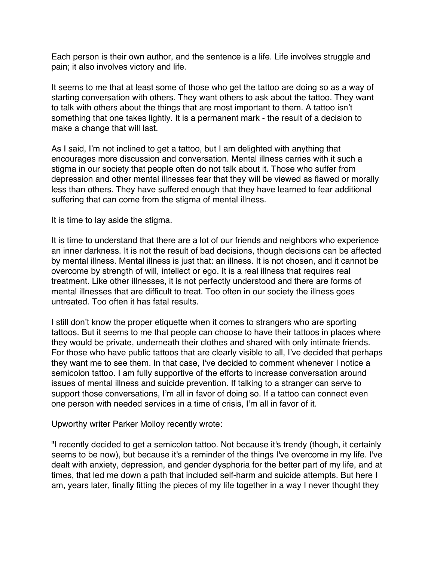Each person is their own author, and the sentence is a life. Life involves struggle and pain; it also involves victory and life.

It seems to me that at least some of those who get the tattoo are doing so as a way of starting conversation with others. They want others to ask about the tattoo. They want to talk with others about the things that are most important to them. A tattoo isn't something that one takes lightly. It is a permanent mark - the result of a decision to make a change that will last.

As I said, I'm not inclined to get a tattoo, but I am delighted with anything that encourages more discussion and conversation. Mental illness carries with it such a stigma in our society that people often do not talk about it. Those who suffer from depression and other mental illnesses fear that they will be viewed as flawed or morally less than others. They have suffered enough that they have learned to fear additional suffering that can come from the stigma of mental illness.

It is time to lay aside the stigma.

It is time to understand that there are a lot of our friends and neighbors who experience an inner darkness. It is not the result of bad decisions, though decisions can be affected by mental illness. Mental illness is just that: an illness. It is not chosen, and it cannot be overcome by strength of will, intellect or ego. It is a real illness that requires real treatment. Like other illnesses, it is not perfectly understood and there are forms of mental illnesses that are difficult to treat. Too often in our society the illness goes untreated. Too often it has fatal results.

I still don't know the proper etiquette when it comes to strangers who are sporting tattoos. But it seems to me that people can choose to have their tattoos in places where they would be private, underneath their clothes and shared with only intimate friends. For those who have public tattoos that are clearly visible to all, I've decided that perhaps they want me to see them. In that case, I've decided to comment whenever I notice a semicolon tattoo. I am fully supportive of the efforts to increase conversation around issues of mental illness and suicide prevention. If talking to a stranger can serve to support those conversations, I'm all in favor of doing so. If a tattoo can connect even one person with needed services in a time of crisis, I'm all in favor of it.

Upworthy writer Parker Molloy recently wrote:

"I recently decided to get a semicolon tattoo. Not because it's trendy (though, it certainly seems to be now), but because it's a reminder of the things I've overcome in my life. I've dealt with anxiety, depression, and gender dysphoria for the better part of my life, and at times, that led me down a path that included self-harm and suicide attempts. But here I am, years later, finally fitting the pieces of my life together in a way I never thought they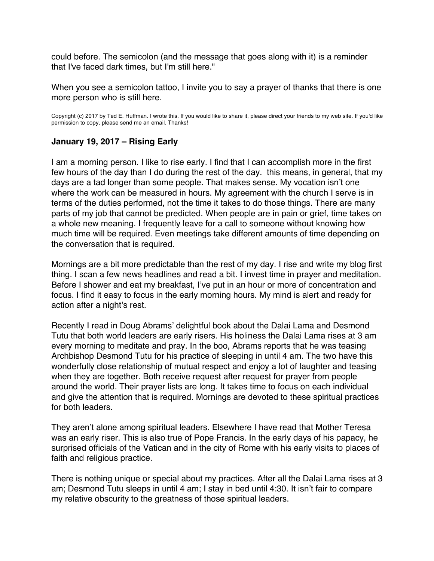<span id="page-39-0"></span>could before. The semicolon (and the message that goes along with it) is a reminder that I've faced dark times, but I'm still here."

When you see a semicolon tattoo, I invite you to say a prayer of thanks that there is one more person who is still here.

Copyright (c) 2017 by Ted E. Huffman. I wrote this. If you would like to share it, please direct your friends to my web site. If you'd like permission to copy, please send me an email. Thanks!

#### **January 19, 2017 – Rising Early**

I am a morning person. I like to rise early. I find that I can accomplish more in the first few hours of the day than I do during the rest of the day. this means, in general, that my days are a tad longer than some people. That makes sense. My vocation isn't one where the work can be measured in hours. My agreement with the church I serve is in terms of the duties performed, not the time it takes to do those things. There are many parts of my job that cannot be predicted. When people are in pain or grief, time takes on a whole new meaning. I frequently leave for a call to someone without knowing how much time will be required. Even meetings take different amounts of time depending on the conversation that is required.

Mornings are a bit more predictable than the rest of my day. I rise and write my blog first thing. I scan a few news headlines and read a bit. I invest time in prayer and meditation. Before I shower and eat my breakfast, I've put in an hour or more of concentration and focus. I find it easy to focus in the early morning hours. My mind is alert and ready for action after a night's rest.

Recently I read in Doug Abrams' delightful book about the Dalai Lama and Desmond Tutu that both world leaders are early risers. His holiness the Dalai Lama rises at 3 am every morning to meditate and pray. In the boo, Abrams reports that he was teasing Archbishop Desmond Tutu for his practice of sleeping in until 4 am. The two have this wonderfully close relationship of mutual respect and enjoy a lot of laughter and teasing when they are together. Both receive request after request for prayer from people around the world. Their prayer lists are long. It takes time to focus on each individual and give the attention that is required. Mornings are devoted to these spiritual practices for both leaders.

They aren't alone among spiritual leaders. Elsewhere I have read that Mother Teresa was an early riser. This is also true of Pope Francis. In the early days of his papacy, he surprised officials of the Vatican and in the city of Rome with his early visits to places of faith and religious practice.

There is nothing unique or special about my practices. After all the Dalai Lama rises at 3 am; Desmond Tutu sleeps in until 4 am; I stay in bed until 4:30. It isn't fair to compare my relative obscurity to the greatness of those spiritual leaders.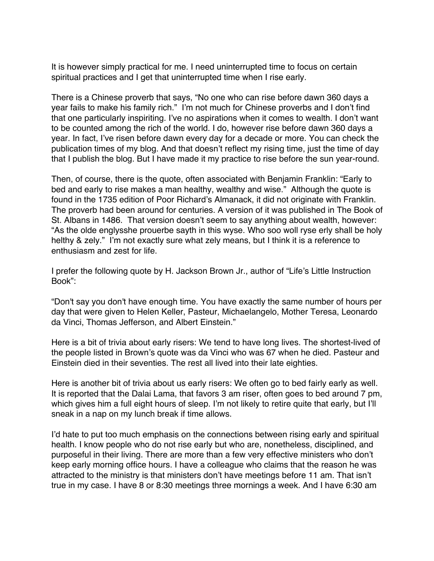It is however simply practical for me. I need uninterrupted time to focus on certain spiritual practices and I get that uninterrupted time when I rise early.

There is a Chinese proverb that says, "No one who can rise before dawn 360 days a year fails to make his family rich." I'm not much for Chinese proverbs and I don't find that one particularly inspiriting. I've no aspirations when it comes to wealth. I don't want to be counted among the rich of the world. I do, however rise before dawn 360 days a year. In fact, I've risen before dawn every day for a decade or more. You can check the publication times of my blog. And that doesn't reflect my rising time, just the time of day that I publish the blog. But I have made it my practice to rise before the sun year-round.

Then, of course, there is the quote, often associated with Benjamin Franklin: "Early to bed and early to rise makes a man healthy, wealthy and wise." Although the quote is found in the 1735 edition of Poor Richard's Almanack, it did not originate with Franklin. The proverb had been around for centuries. A version of it was published in The Book of St. Albans in 1486. That version doesn't seem to say anything about wealth, however: "As the olde englysshe prouerbe sayth in this wyse. Who soo woll ryse erly shall be holy helthy & zely." I'm not exactly sure what zely means, but I think it is a reference to enthusiasm and zest for life.

I prefer the following quote by H. Jackson Brown Jr., author of "Life's Little Instruction Book":

"Don't say you don't have enough time. You have exactly the same number of hours per day that were given to Helen Keller, Pasteur, Michaelangelo, Mother Teresa, Leonardo da Vinci, Thomas Jefferson, and Albert Einstein."

Here is a bit of trivia about early risers: We tend to have long lives. The shortest-lived of the people listed in Brown's quote was da Vinci who was 67 when he died. Pasteur and Einstein died in their seventies. The rest all lived into their late eighties.

Here is another bit of trivia about us early risers: We often go to bed fairly early as well. It is reported that the Dalai Lama, that favors 3 am riser, often goes to bed around 7 pm, which gives him a full eight hours of sleep. I'm not likely to retire quite that early, but I'll sneak in a nap on my lunch break if time allows.

I'd hate to put too much emphasis on the connections between rising early and spiritual health. I know people who do not rise early but who are, nonetheless, disciplined, and purposeful in their living. There are more than a few very effective ministers who don't keep early morning office hours. I have a colleague who claims that the reason he was attracted to the ministry is that ministers don't have meetings before 11 am. That isn't true in my case. I have 8 or 8:30 meetings three mornings a week. And I have 6:30 am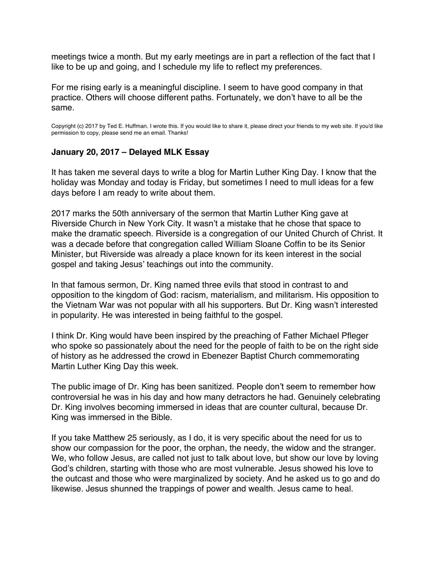<span id="page-41-0"></span>meetings twice a month. But my early meetings are in part a reflection of the fact that I like to be up and going, and I schedule my life to reflect my preferences.

For me rising early is a meaningful discipline. I seem to have good company in that practice. Others will choose different paths. Fortunately, we don't have to all be the same.

Copyright (c) 2017 by Ted E. Huffman. I wrote this. If you would like to share it, please direct your friends to my web site. If you'd like permission to copy, please send me an email. Thanks!

#### **January 20, 2017 – Delayed MLK Essay**

It has taken me several days to write a blog for Martin Luther King Day. I know that the holiday was Monday and today is Friday, but sometimes I need to mull ideas for a few days before I am ready to write about them.

2017 marks the 50th anniversary of the sermon that Martin Luther King gave at Riverside Church in New York City. It wasn't a mistake that he chose that space to make the dramatic speech. Riverside is a congregation of our United Church of Christ. It was a decade before that congregation called William Sloane Coffin to be its Senior Minister, but Riverside was already a place known for its keen interest in the social gospel and taking Jesus' teachings out into the community.

In that famous sermon, Dr. King named three evils that stood in contrast to and opposition to the kingdom of God: racism, materialism, and militarism. His opposition to the Vietnam War was not popular with all his supporters. But Dr. King wasn't interested in popularity. He was interested in being faithful to the gospel.

I think Dr. King would have been inspired by the preaching of Father Michael Pfleger who spoke so passionately about the need for the people of faith to be on the right side of history as he addressed the crowd in Ebenezer Baptist Church commemorating Martin Luther King Day this week.

The public image of Dr. King has been sanitized. People don't seem to remember how controversial he was in his day and how many detractors he had. Genuinely celebrating Dr. King involves becoming immersed in ideas that are counter cultural, because Dr. King was immersed in the Bible.

If you take Matthew 25 seriously, as I do, it is very specific about the need for us to show our compassion for the poor, the orphan, the needy, the widow and the stranger. We, who follow Jesus, are called not just to talk about love, but show our love by loving God's children, starting with those who are most vulnerable. Jesus showed his love to the outcast and those who were marginalized by society. And he asked us to go and do likewise. Jesus shunned the trappings of power and wealth. Jesus came to heal.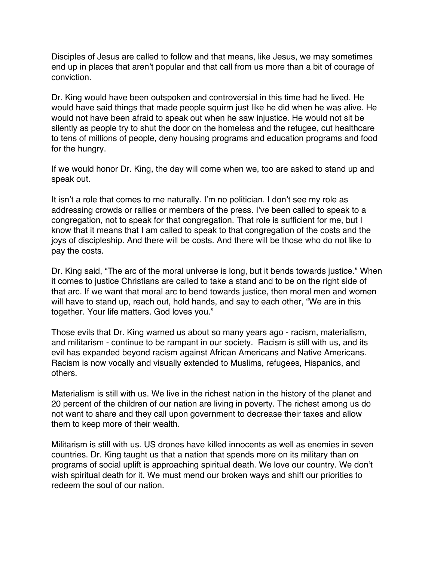Disciples of Jesus are called to follow and that means, like Jesus, we may sometimes end up in places that aren't popular and that call from us more than a bit of courage of conviction.

Dr. King would have been outspoken and controversial in this time had he lived. He would have said things that made people squirm just like he did when he was alive. He would not have been afraid to speak out when he saw injustice. He would not sit be silently as people try to shut the door on the homeless and the refugee, cut healthcare to tens of millions of people, deny housing programs and education programs and food for the hungry.

If we would honor Dr. King, the day will come when we, too are asked to stand up and speak out.

It isn't a role that comes to me naturally. I'm no politician. I don't see my role as addressing crowds or rallies or members of the press. I've been called to speak to a congregation, not to speak for that congregation. That role is sufficient for me, but I know that it means that I am called to speak to that congregation of the costs and the joys of discipleship. And there will be costs. And there will be those who do not like to pay the costs.

Dr. King said, "The arc of the moral universe is long, but it bends towards justice." When it comes to justice Christians are called to take a stand and to be on the right side of that arc. If we want that moral arc to bend towards justice, then moral men and women will have to stand up, reach out, hold hands, and say to each other, "We are in this together. Your life matters. God loves you."

Those evils that Dr. King warned us about so many years ago - racism, materialism, and militarism - continue to be rampant in our society. Racism is still with us, and its evil has expanded beyond racism against African Americans and Native Americans. Racism is now vocally and visually extended to Muslims, refugees, Hispanics, and others.

Materialism is still with us. We live in the richest nation in the history of the planet and 20 percent of the children of our nation are living in poverty. The richest among us do not want to share and they call upon government to decrease their taxes and allow them to keep more of their wealth.

Militarism is still with us. US drones have killed innocents as well as enemies in seven countries. Dr. King taught us that a nation that spends more on its military than on programs of social uplift is approaching spiritual death. We love our country. We don't wish spiritual death for it. We must mend our broken ways and shift our priorities to redeem the soul of our nation.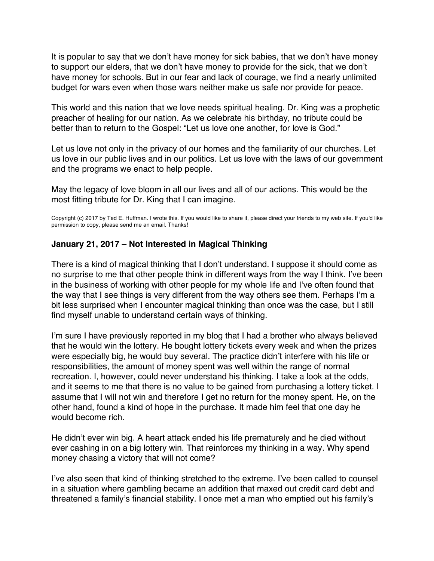<span id="page-43-0"></span>It is popular to say that we don't have money for sick babies, that we don't have money to support our elders, that we don't have money to provide for the sick, that we don't have money for schools. But in our fear and lack of courage, we find a nearly unlimited budget for wars even when those wars neither make us safe nor provide for peace.

This world and this nation that we love needs spiritual healing. Dr. King was a prophetic preacher of healing for our nation. As we celebrate his birthday, no tribute could be better than to return to the Gospel: "Let us love one another, for love is God."

Let us love not only in the privacy of our homes and the familiarity of our churches. Let us love in our public lives and in our politics. Let us love with the laws of our government and the programs we enact to help people.

May the legacy of love bloom in all our lives and all of our actions. This would be the most fitting tribute for Dr. King that I can imagine.

Copyright (c) 2017 by Ted E. Huffman. I wrote this. If you would like to share it, please direct your friends to my web site. If you'd like permission to copy, please send me an email. Thanks!

#### **January 21, 2017 – Not Interested in Magical Thinking**

There is a kind of magical thinking that I don't understand. I suppose it should come as no surprise to me that other people think in different ways from the way I think. I've been in the business of working with other people for my whole life and I've often found that the way that I see things is very different from the way others see them. Perhaps I'm a bit less surprised when I encounter magical thinking than once was the case, but I still find myself unable to understand certain ways of thinking.

I'm sure I have previously reported in my blog that I had a brother who always believed that he would win the lottery. He bought lottery tickets every week and when the prizes were especially big, he would buy several. The practice didn't interfere with his life or responsibilities, the amount of money spent was well within the range of normal recreation. I, however, could never understand his thinking. I take a look at the odds, and it seems to me that there is no value to be gained from purchasing a lottery ticket. I assume that I will not win and therefore I get no return for the money spent. He, on the other hand, found a kind of hope in the purchase. It made him feel that one day he would become rich.

He didn't ever win big. A heart attack ended his life prematurely and he died without ever cashing in on a big lottery win. That reinforces my thinking in a way. Why spend money chasing a victory that will not come?

I've also seen that kind of thinking stretched to the extreme. I've been called to counsel in a situation where gambling became an addition that maxed out credit card debt and threatened a family's financial stability. I once met a man who emptied out his family's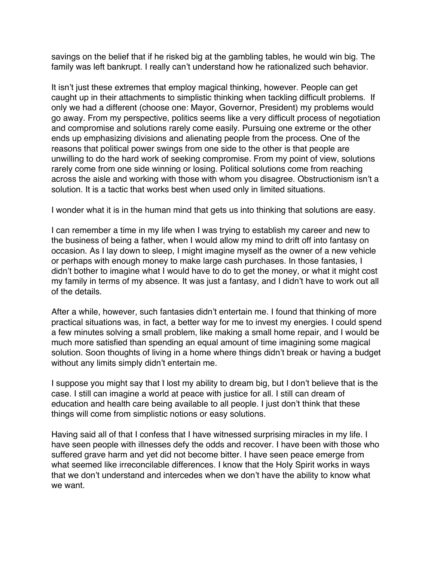savings on the belief that if he risked big at the gambling tables, he would win big. The family was left bankrupt. I really can't understand how he rationalized such behavior.

It isn't just these extremes that employ magical thinking, however. People can get caught up in their attachments to simplistic thinking when tackling difficult problems. If only we had a different (choose one: Mayor, Governor, President) my problems would go away. From my perspective, politics seems like a very difficult process of negotiation and compromise and solutions rarely come easily. Pursuing one extreme or the other ends up emphasizing divisions and alienating people from the process. One of the reasons that political power swings from one side to the other is that people are unwilling to do the hard work of seeking compromise. From my point of view, solutions rarely come from one side winning or losing. Political solutions come from reaching across the aisle and working with those with whom you disagree. Obstructionism isn't a solution. It is a tactic that works best when used only in limited situations.

I wonder what it is in the human mind that gets us into thinking that solutions are easy.

I can remember a time in my life when I was trying to establish my career and new to the business of being a father, when I would allow my mind to drift off into fantasy on occasion. As I lay down to sleep, I might imagine myself as the owner of a new vehicle or perhaps with enough money to make large cash purchases. In those fantasies, I didn't bother to imagine what I would have to do to get the money, or what it might cost my family in terms of my absence. It was just a fantasy, and I didn't have to work out all of the details.

After a while, however, such fantasies didn't entertain me. I found that thinking of more practical situations was, in fact, a better way for me to invest my energies. I could spend a few minutes solving a small problem, like making a small home repair, and I would be much more satisfied than spending an equal amount of time imagining some magical solution. Soon thoughts of living in a home where things didn't break or having a budget without any limits simply didn't entertain me.

I suppose you might say that I lost my ability to dream big, but I don't believe that is the case. I still can imagine a world at peace with justice for all. I still can dream of education and health care being available to all people. I just don't think that these things will come from simplistic notions or easy solutions.

Having said all of that I confess that I have witnessed surprising miracles in my life. I have seen people with illnesses defy the odds and recover. I have been with those who suffered grave harm and yet did not become bitter. I have seen peace emerge from what seemed like irreconcilable differences. I know that the Holy Spirit works in ways that we don't understand and intercedes when we don't have the ability to know what we want.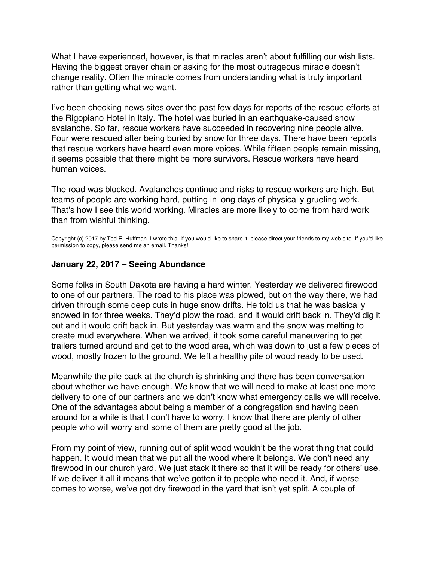<span id="page-45-0"></span>What I have experienced, however, is that miracles aren't about fulfilling our wish lists. Having the biggest prayer chain or asking for the most outrageous miracle doesn't change reality. Often the miracle comes from understanding what is truly important rather than getting what we want.

I've been checking news sites over the past few days for reports of the rescue efforts at the Rigopiano Hotel in Italy. The hotel was buried in an earthquake-caused snow avalanche. So far, rescue workers have succeeded in recovering nine people alive. Four were rescued after being buried by snow for three days. There have been reports that rescue workers have heard even more voices. While fifteen people remain missing, it seems possible that there might be more survivors. Rescue workers have heard human voices.

The road was blocked. Avalanches continue and risks to rescue workers are high. But teams of people are working hard, putting in long days of physically grueling work. That's how I see this world working. Miracles are more likely to come from hard work than from wishful thinking.

Copyright (c) 2017 by Ted E. Huffman. I wrote this. If you would like to share it, please direct your friends to my web site. If you'd like permission to copy, please send me an email. Thanks!

#### **January 22, 2017 – Seeing Abundance**

Some folks in South Dakota are having a hard winter. Yesterday we delivered firewood to one of our partners. The road to his place was plowed, but on the way there, we had driven through some deep cuts in huge snow drifts. He told us that he was basically snowed in for three weeks. They'd plow the road, and it would drift back in. They'd dig it out and it would drift back in. But yesterday was warm and the snow was melting to create mud everywhere. When we arrived, it took some careful maneuvering to get trailers turned around and get to the wood area, which was down to just a few pieces of wood, mostly frozen to the ground. We left a healthy pile of wood ready to be used.

Meanwhile the pile back at the church is shrinking and there has been conversation about whether we have enough. We know that we will need to make at least one more delivery to one of our partners and we don't know what emergency calls we will receive. One of the advantages about being a member of a congregation and having been around for a while is that I don't have to worry. I know that there are plenty of other people who will worry and some of them are pretty good at the job.

From my point of view, running out of split wood wouldn't be the worst thing that could happen. It would mean that we put all the wood where it belongs. We don't need any firewood in our church yard. We just stack it there so that it will be ready for others' use. If we deliver it all it means that we've gotten it to people who need it. And, if worse comes to worse, we've got dry firewood in the yard that isn't yet split. A couple of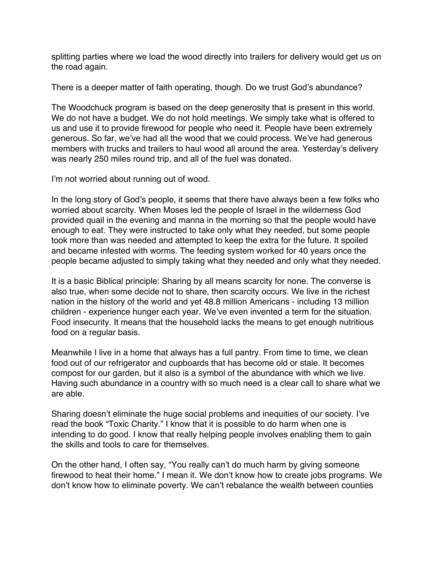splitting parties where we load the wood directly into trailers for delivery would get us on the road again.

There is a deeper matter of faith operating, though. Do we trust God's abundance?

The Woodchuck program is based on the deep generosity that is present in this world. We do not have a budget. We do not hold meetings. We simply take what is offered to us and use it to provide firewood for people who need it. People have been extremely generous. So far, we've had all the wood that we could process. We've had generous members with trucks and trailers to haul wood all around the area. Yesterday's delivery was nearly 250 miles round trip, and all of the fuel was donated.

I'm not worried about running out of wood.

In the long story of God's people, it seems that there have always been a few folks who worried about scarcity. When Moses led the people of Israel in the wilderness God provided quail in the evening and manna in the morning so that the people would have enough to eat. They were instructed to take only what they needed, but some people took more than was needed and attempted to keep the extra for the future. It spoiled and became infested with worms. The feeding system worked for 40 years once the people became adjusted to simply taking what they needed and only what they needed.

It is a basic Biblical principle: Sharing by all means scarcity for none. The converse is also true, when some decide not to share, then scarcity occurs. We live in the richest nation in the history of the world and yet 48.8 million Americans - including 13 million children - experience hunger each year. We've even invented a term for the situation. Food insecurity. It means that the household lacks the means to get enough nutritious food on a regular basis.

Meanwhile I live in a home that always has a full pantry. From time to time, we clean food out of our refrigerator and cupboards that has become old or stale. It becomes compost for our garden, but it also is a symbol of the abundance with which we live. Having such abundance in a country with so much need is a clear call to share what we are able.

Sharing doesn't eliminate the huge social problems and inequities of our society. I've read the book "Toxic Charity." I know that it is possible to do harm when one is intending to do good. I know that really helping people involves enabling them to gain the skills and tools to care for themselves.

On the other hand, I often say, "You really can't do much harm by giving someone firewood to heat their home." I mean it. We don't know how to create jobs programs. We don't know how to eliminate poverty. We can't rebalance the wealth between counties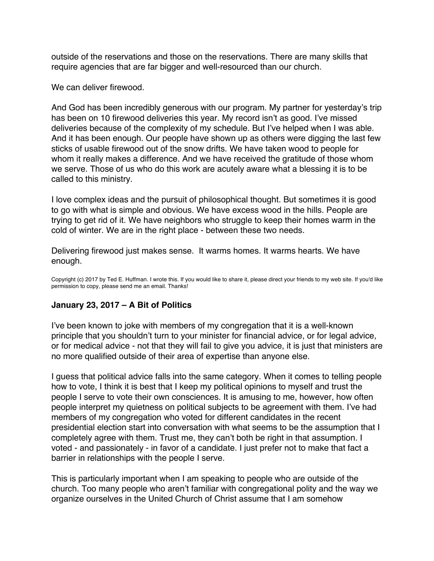<span id="page-47-0"></span>outside of the reservations and those on the reservations. There are many skills that require agencies that are far bigger and well-resourced than our church.

We can deliver firewood.

And God has been incredibly generous with our program. My partner for yesterday's trip has been on 10 firewood deliveries this year. My record isn't as good. I've missed deliveries because of the complexity of my schedule. But I've helped when I was able. And it has been enough. Our people have shown up as others were digging the last few sticks of usable firewood out of the snow drifts. We have taken wood to people for whom it really makes a difference. And we have received the gratitude of those whom we serve. Those of us who do this work are acutely aware what a blessing it is to be called to this ministry.

I love complex ideas and the pursuit of philosophical thought. But sometimes it is good to go with what is simple and obvious. We have excess wood in the hills. People are trying to get rid of it. We have neighbors who struggle to keep their homes warm in the cold of winter. We are in the right place - between these two needs.

Delivering firewood just makes sense. It warms homes. It warms hearts. We have enough.

Copyright (c) 2017 by Ted E. Huffman. I wrote this. If you would like to share it, please direct your friends to my web site. If you'd like permission to copy, please send me an email. Thanks!

# **January 23, 2017 – A Bit of Politics**

I've been known to joke with members of my congregation that it is a well-known principle that you shouldn't turn to your minister for financial advice, or for legal advice, or for medical advice - not that they will fail to give you advice, it is just that ministers are no more qualified outside of their area of expertise than anyone else.

I guess that political advice falls into the same category. When it comes to telling people how to vote, I think it is best that I keep my political opinions to myself and trust the people I serve to vote their own consciences. It is amusing to me, however, how often people interpret my quietness on political subjects to be agreement with them. I've had members of my congregation who voted for different candidates in the recent presidential election start into conversation with what seems to be the assumption that I completely agree with them. Trust me, they can't both be right in that assumption. I voted - and passionately - in favor of a candidate. I just prefer not to make that fact a barrier in relationships with the people I serve.

This is particularly important when I am speaking to people who are outside of the church. Too many people who aren't familiar with congregational polity and the way we organize ourselves in the United Church of Christ assume that I am somehow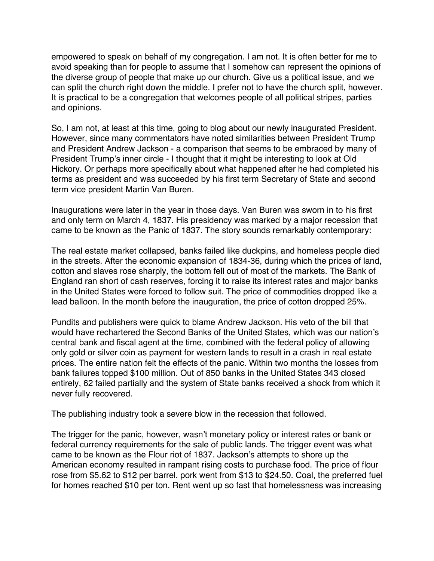empowered to speak on behalf of my congregation. I am not. It is often better for me to avoid speaking than for people to assume that I somehow can represent the opinions of the diverse group of people that make up our church. Give us a political issue, and we can split the church right down the middle. I prefer not to have the church split, however. It is practical to be a congregation that welcomes people of all political stripes, parties and opinions.

So, I am not, at least at this time, going to blog about our newly inaugurated President. However, since many commentators have noted similarities between President Trump and President Andrew Jackson - a comparison that seems to be embraced by many of President Trump's inner circle - I thought that it might be interesting to look at Old Hickory. Or perhaps more specifically about what happened after he had completed his terms as president and was succeeded by his first term Secretary of State and second term vice president Martin Van Buren.

Inaugurations were later in the year in those days. Van Buren was sworn in to his first and only term on March 4, 1837. His presidency was marked by a major recession that came to be known as the Panic of 1837. The story sounds remarkably contemporary:

The real estate market collapsed, banks failed like duckpins, and homeless people died in the streets. After the economic expansion of 1834-36, during which the prices of land, cotton and slaves rose sharply, the bottom fell out of most of the markets. The Bank of England ran short of cash reserves, forcing it to raise its interest rates and major banks in the United States were forced to follow suit. The price of commodities dropped like a lead balloon. In the month before the inauguration, the price of cotton dropped 25%.

Pundits and publishers were quick to blame Andrew Jackson. His veto of the bill that would have rechartered the Second Banks of the United States, which was our nation's central bank and fiscal agent at the time, combined with the federal policy of allowing only gold or silver coin as payment for western lands to result in a crash in real estate prices. The entire nation felt the effects of the panic. Within two months the losses from bank failures topped \$100 million. Out of 850 banks in the United States 343 closed entirely, 62 failed partially and the system of State banks received a shock from which it never fully recovered.

The publishing industry took a severe blow in the recession that followed.

The trigger for the panic, however, wasn't monetary policy or interest rates or bank or federal currency requirements for the sale of public lands. The trigger event was what came to be known as the Flour riot of 1837. Jackson's attempts to shore up the American economy resulted in rampant rising costs to purchase food. The price of flour rose from \$5.62 to \$12 per barrel. pork went from \$13 to \$24.50. Coal, the preferred fuel for homes reached \$10 per ton. Rent went up so fast that homelessness was increasing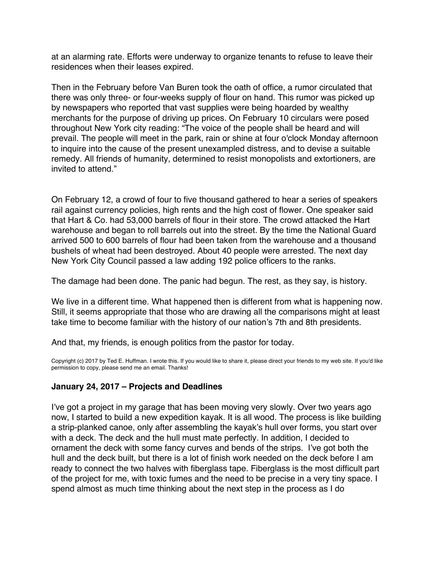<span id="page-49-0"></span>at an alarming rate. Efforts were underway to organize tenants to refuse to leave their residences when their leases expired.

Then in the February before Van Buren took the oath of office, a rumor circulated that there was only three- or four-weeks supply of flour on hand. This rumor was picked up by newspapers who reported that vast supplies were being hoarded by wealthy merchants for the purpose of driving up prices. On February 10 circulars were posed throughout New York city reading: "The voice of the people shall be heard and will prevail. The people will meet in the park, rain or shine at four o'clock Monday afternoon to inquire into the cause of the present unexampled distress, and to devise a suitable remedy. All friends of humanity, determined to resist monopolists and extortioners, are invited to attend."

On February 12, a crowd of four to five thousand gathered to hear a series of speakers rail against currency policies, high rents and the high cost of flower. One speaker said that Hart & Co. had 53,000 barrels of flour in their store. The crowd attacked the Hart warehouse and began to roll barrels out into the street. By the time the National Guard arrived 500 to 600 barrels of flour had been taken from the warehouse and a thousand bushels of wheat had been destroyed. About 40 people were arrested. The next day New York City Council passed a law adding 192 police officers to the ranks.

The damage had been done. The panic had begun. The rest, as they say, is history.

We live in a different time. What happened then is different from what is happening now. Still, it seems appropriate that those who are drawing all the comparisons might at least take time to become familiar with the history of our nation's 7th and 8th presidents.

And that, my friends, is enough politics from the pastor for today.

Copyright (c) 2017 by Ted E. Huffman. I wrote this. If you would like to share it, please direct your friends to my web site. If you'd like permission to copy, please send me an email. Thanks!

# **January 24, 2017 – Projects and Deadlines**

I've got a project in my garage that has been moving very slowly. Over two years ago now, I started to build a new expedition kayak. It is all wood. The process is like building a strip-planked canoe, only after assembling the kayak's hull over forms, you start over with a deck. The deck and the hull must mate perfectly. In addition, I decided to ornament the deck with some fancy curves and bends of the strips. I've got both the hull and the deck built, but there is a lot of finish work needed on the deck before I am ready to connect the two halves with fiberglass tape. Fiberglass is the most difficult part of the project for me, with toxic fumes and the need to be precise in a very tiny space. I spend almost as much time thinking about the next step in the process as I do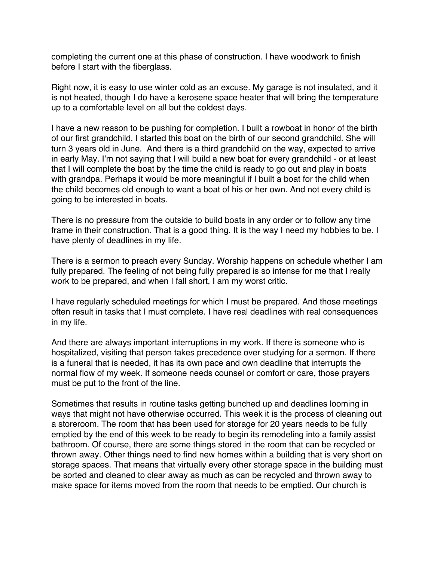completing the current one at this phase of construction. I have woodwork to finish before I start with the fiberglass.

Right now, it is easy to use winter cold as an excuse. My garage is not insulated, and it is not heated, though I do have a kerosene space heater that will bring the temperature up to a comfortable level on all but the coldest days.

I have a new reason to be pushing for completion. I built a rowboat in honor of the birth of our first grandchild. I started this boat on the birth of our second grandchild. She will turn 3 years old in June. And there is a third grandchild on the way, expected to arrive in early May. I'm not saying that I will build a new boat for every grandchild - or at least that I will complete the boat by the time the child is ready to go out and play in boats with grandpa. Perhaps it would be more meaningful if I built a boat for the child when the child becomes old enough to want a boat of his or her own. And not every child is going to be interested in boats.

There is no pressure from the outside to build boats in any order or to follow any time frame in their construction. That is a good thing. It is the way I need my hobbies to be. I have plenty of deadlines in my life.

There is a sermon to preach every Sunday. Worship happens on schedule whether I am fully prepared. The feeling of not being fully prepared is so intense for me that I really work to be prepared, and when I fall short, I am my worst critic.

I have regularly scheduled meetings for which I must be prepared. And those meetings often result in tasks that I must complete. I have real deadlines with real consequences in my life.

And there are always important interruptions in my work. If there is someone who is hospitalized, visiting that person takes precedence over studying for a sermon. If there is a funeral that is needed, it has its own pace and own deadline that interrupts the normal flow of my week. If someone needs counsel or comfort or care, those prayers must be put to the front of the line.

Sometimes that results in routine tasks getting bunched up and deadlines looming in ways that might not have otherwise occurred. This week it is the process of cleaning out a storeroom. The room that has been used for storage for 20 years needs to be fully emptied by the end of this week to be ready to begin its remodeling into a family assist bathroom. Of course, there are some things stored in the room that can be recycled or thrown away. Other things need to find new homes within a building that is very short on storage spaces. That means that virtually every other storage space in the building must be sorted and cleaned to clear away as much as can be recycled and thrown away to make space for items moved from the room that needs to be emptied. Our church is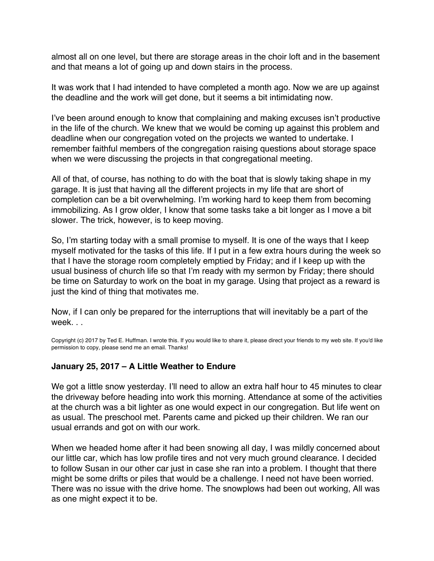<span id="page-51-0"></span>almost all on one level, but there are storage areas in the choir loft and in the basement and that means a lot of going up and down stairs in the process.

It was work that I had intended to have completed a month ago. Now we are up against the deadline and the work will get done, but it seems a bit intimidating now.

I've been around enough to know that complaining and making excuses isn't productive in the life of the church. We knew that we would be coming up against this problem and deadline when our congregation voted on the projects we wanted to undertake. I remember faithful members of the congregation raising questions about storage space when we were discussing the projects in that congregational meeting.

All of that, of course, has nothing to do with the boat that is slowly taking shape in my garage. It is just that having all the different projects in my life that are short of completion can be a bit overwhelming. I'm working hard to keep them from becoming immobilizing. As I grow older, I know that some tasks take a bit longer as I move a bit slower. The trick, however, is to keep moving.

So, I'm starting today with a small promise to myself. It is one of the ways that I keep myself motivated for the tasks of this life. If I put in a few extra hours during the week so that I have the storage room completely emptied by Friday; and if I keep up with the usual business of church life so that I'm ready with my sermon by Friday; there should be time on Saturday to work on the boat in my garage. Using that project as a reward is just the kind of thing that motivates me.

Now, if I can only be prepared for the interruptions that will inevitably be a part of the week. . .

Copyright (c) 2017 by Ted E. Huffman. I wrote this. If you would like to share it, please direct your friends to my web site. If you'd like permission to copy, please send me an email. Thanks!

#### **January 25, 2017 – A Little Weather to Endure**

We got a little snow yesterday. I'll need to allow an extra half hour to 45 minutes to clear the driveway before heading into work this morning. Attendance at some of the activities at the church was a bit lighter as one would expect in our congregation. But life went on as usual. The preschool met. Parents came and picked up their children. We ran our usual errands and got on with our work.

When we headed home after it had been snowing all day, I was mildly concerned about our little car, which has low profile tires and not very much ground clearance. I decided to follow Susan in our other car just in case she ran into a problem. I thought that there might be some drifts or piles that would be a challenge. I need not have been worried. There was no issue with the drive home. The snowplows had been out working, All was as one might expect it to be.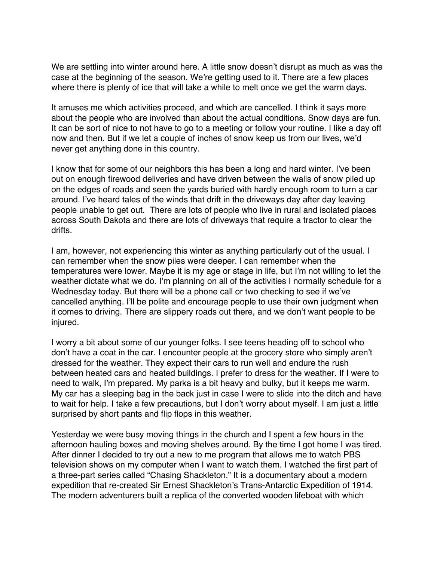We are settling into winter around here. A little snow doesn't disrupt as much as was the case at the beginning of the season. We're getting used to it. There are a few places where there is plenty of ice that will take a while to melt once we get the warm days.

It amuses me which activities proceed, and which are cancelled. I think it says more about the people who are involved than about the actual conditions. Snow days are fun. It can be sort of nice to not have to go to a meeting or follow your routine. I like a day off now and then. But if we let a couple of inches of snow keep us from our lives, we'd never get anything done in this country.

I know that for some of our neighbors this has been a long and hard winter. I've been out on enough firewood deliveries and have driven between the walls of snow piled up on the edges of roads and seen the yards buried with hardly enough room to turn a car around. I've heard tales of the winds that drift in the driveways day after day leaving people unable to get out. There are lots of people who live in rural and isolated places across South Dakota and there are lots of driveways that require a tractor to clear the drifts.

I am, however, not experiencing this winter as anything particularly out of the usual. I can remember when the snow piles were deeper. I can remember when the temperatures were lower. Maybe it is my age or stage in life, but I'm not willing to let the weather dictate what we do. I'm planning on all of the activities I normally schedule for a Wednesday today. But there will be a phone call or two checking to see if we've cancelled anything. I'll be polite and encourage people to use their own judgment when it comes to driving. There are slippery roads out there, and we don't want people to be injured.

I worry a bit about some of our younger folks. I see teens heading off to school who don't have a coat in the car. I encounter people at the grocery store who simply aren't dressed for the weather. They expect their cars to run well and endure the rush between heated cars and heated buildings. I prefer to dress for the weather. If I were to need to walk, I'm prepared. My parka is a bit heavy and bulky, but it keeps me warm. My car has a sleeping bag in the back just in case I were to slide into the ditch and have to wait for help. I take a few precautions, but I don't worry about myself. I am just a little surprised by short pants and flip flops in this weather.

Yesterday we were busy moving things in the church and I spent a few hours in the afternoon hauling boxes and moving shelves around. By the time I got home I was tired. After dinner I decided to try out a new to me program that allows me to watch PBS television shows on my computer when I want to watch them. I watched the first part of a three-part series called "Chasing Shackleton." It is a documentary about a modern expedition that re-created Sir Ernest Shackleton's Trans-Antarctic Expedition of 1914. The modern adventurers built a replica of the converted wooden lifeboat with which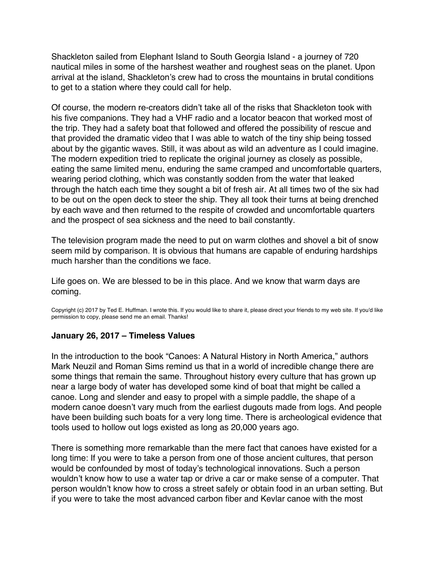<span id="page-53-0"></span>Shackleton sailed from Elephant Island to South Georgia Island - a journey of 720 nautical miles in some of the harshest weather and roughest seas on the planet. Upon arrival at the island, Shackleton's crew had to cross the mountains in brutal conditions to get to a station where they could call for help.

Of course, the modern re-creators didn't take all of the risks that Shackleton took with his five companions. They had a VHF radio and a locator beacon that worked most of the trip. They had a safety boat that followed and offered the possibility of rescue and that provided the dramatic video that I was able to watch of the tiny ship being tossed about by the gigantic waves. Still, it was about as wild an adventure as I could imagine. The modern expedition tried to replicate the original journey as closely as possible, eating the same limited menu, enduring the same cramped and uncomfortable quarters, wearing period clothing, which was constantly sodden from the water that leaked through the hatch each time they sought a bit of fresh air. At all times two of the six had to be out on the open deck to steer the ship. They all took their turns at being drenched by each wave and then returned to the respite of crowded and uncomfortable quarters and the prospect of sea sickness and the need to bail constantly.

The television program made the need to put on warm clothes and shovel a bit of snow seem mild by comparison. It is obvious that humans are capable of enduring hardships much harsher than the conditions we face.

Life goes on. We are blessed to be in this place. And we know that warm days are coming.

Copyright (c) 2017 by Ted E. Huffman. I wrote this. If you would like to share it, please direct your friends to my web site. If you'd like permission to copy, please send me an email. Thanks!

#### **January 26, 2017 – Timeless Values**

In the introduction to the book "Canoes: A Natural History in North America," authors Mark Neuzil and Roman Sims remind us that in a world of incredible change there are some things that remain the same. Throughout history every culture that has grown up near a large body of water has developed some kind of boat that might be called a canoe. Long and slender and easy to propel with a simple paddle, the shape of a modern canoe doesn't vary much from the earliest dugouts made from logs. And people have been building such boats for a very long time. There is archeological evidence that tools used to hollow out logs existed as long as 20,000 years ago.

There is something more remarkable than the mere fact that canoes have existed for a long time: If you were to take a person from one of those ancient cultures, that person would be confounded by most of today's technological innovations. Such a person wouldn't know how to use a water tap or drive a car or make sense of a computer. That person wouldn't know how to cross a street safely or obtain food in an urban setting. But if you were to take the most advanced carbon fiber and Kevlar canoe with the most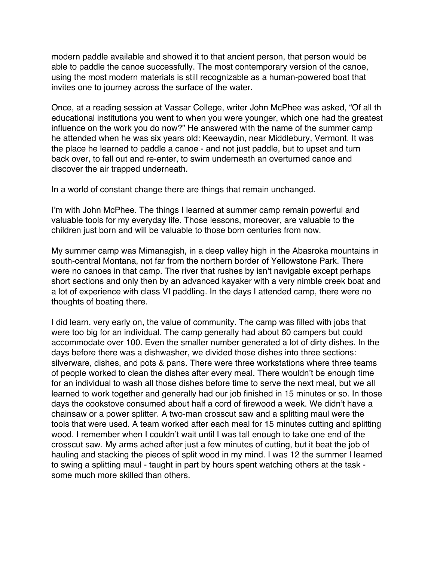modern paddle available and showed it to that ancient person, that person would be able to paddle the canoe successfully. The most contemporary version of the canoe, using the most modern materials is still recognizable as a human-powered boat that invites one to journey across the surface of the water.

Once, at a reading session at Vassar College, writer John McPhee was asked, "Of all th educational institutions you went to when you were younger, which one had the greatest influence on the work you do now?" He answered with the name of the summer camp he attended when he was six years old: Keewaydin, near Middlebury, Vermont. It was the place he learned to paddle a canoe - and not just paddle, but to upset and turn back over, to fall out and re-enter, to swim underneath an overturned canoe and discover the air trapped underneath.

In a world of constant change there are things that remain unchanged.

I'm with John McPhee. The things I learned at summer camp remain powerful and valuable tools for my everyday life. Those lessons, moreover, are valuable to the children just born and will be valuable to those born centuries from now.

My summer camp was Mimanagish, in a deep valley high in the Abasroka mountains in south-central Montana, not far from the northern border of Yellowstone Park. There were no canoes in that camp. The river that rushes by isn't navigable except perhaps short sections and only then by an advanced kayaker with a very nimble creek boat and a lot of experience with class VI paddling. In the days I attended camp, there were no thoughts of boating there.

I did learn, very early on, the value of community. The camp was filled with jobs that were too big for an individual. The camp generally had about 60 campers but could accommodate over 100. Even the smaller number generated a lot of dirty dishes. In the days before there was a dishwasher, we divided those dishes into three sections: silverware, dishes, and pots & pans. There were three workstations where three teams of people worked to clean the dishes after every meal. There wouldn't be enough time for an individual to wash all those dishes before time to serve the next meal, but we all learned to work together and generally had our job finished in 15 minutes or so. In those days the cookstove consumed about half a cord of firewood a week. We didn't have a chainsaw or a power splitter. A two-man crosscut saw and a splitting maul were the tools that were used. A team worked after each meal for 15 minutes cutting and splitting wood. I remember when I couldn't wait until I was tall enough to take one end of the crosscut saw. My arms ached after just a few minutes of cutting, but it beat the job of hauling and stacking the pieces of split wood in my mind. I was 12 the summer I learned to swing a splitting maul - taught in part by hours spent watching others at the task some much more skilled than others.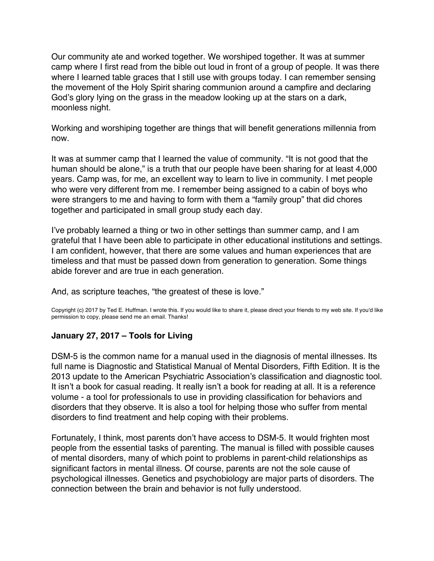<span id="page-55-0"></span>Our community ate and worked together. We worshiped together. It was at summer camp where I first read from the bible out loud in front of a group of people. It was there where I learned table graces that I still use with groups today. I can remember sensing the movement of the Holy Spirit sharing communion around a campfire and declaring God's glory lying on the grass in the meadow looking up at the stars on a dark, moonless night.

Working and worshiping together are things that will benefit generations millennia from now.

It was at summer camp that I learned the value of community. "It is not good that the human should be alone," is a truth that our people have been sharing for at least 4,000 years. Camp was, for me, an excellent way to learn to live in community. I met people who were very different from me. I remember being assigned to a cabin of boys who were strangers to me and having to form with them a "family group" that did chores together and participated in small group study each day.

I've probably learned a thing or two in other settings than summer camp, and I am grateful that I have been able to participate in other educational institutions and settings. I am confident, however, that there are some values and human experiences that are timeless and that must be passed down from generation to generation. Some things abide forever and are true in each generation.

And, as scripture teaches, "the greatest of these is love."

Copyright (c) 2017 by Ted E. Huffman. I wrote this. If you would like to share it, please direct your friends to my web site. If you'd like permission to copy, please send me an email. Thanks!

# **January 27, 2017 – Tools for Living**

DSM-5 is the common name for a manual used in the diagnosis of mental illnesses. Its full name is Diagnostic and Statistical Manual of Mental Disorders, Fifth Edition. It is the 2013 update to the American Psychiatric Association's classification and diagnostic tool. It isn't a book for casual reading. It really isn't a book for reading at all. It is a reference volume - a tool for professionals to use in providing classification for behaviors and disorders that they observe. It is also a tool for helping those who suffer from mental disorders to find treatment and help coping with their problems.

Fortunately, I think, most parents don't have access to DSM-5. It would frighten most people from the essential tasks of parenting. The manual is filled with possible causes of mental disorders, many of which point to problems in parent-child relationships as significant factors in mental illness. Of course, parents are not the sole cause of psychological illnesses. Genetics and psychobiology are major parts of disorders. The connection between the brain and behavior is not fully understood.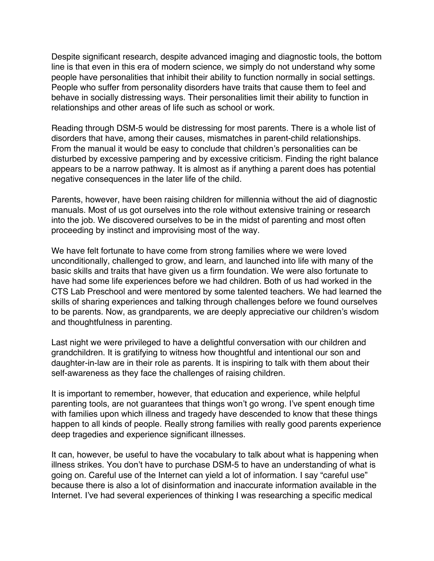Despite significant research, despite advanced imaging and diagnostic tools, the bottom line is that even in this era of modern science, we simply do not understand why some people have personalities that inhibit their ability to function normally in social settings. People who suffer from personality disorders have traits that cause them to feel and behave in socially distressing ways. Their personalities limit their ability to function in relationships and other areas of life such as school or work.

Reading through DSM-5 would be distressing for most parents. There is a whole list of disorders that have, among their causes, mismatches in parent-child relationships. From the manual it would be easy to conclude that children's personalities can be disturbed by excessive pampering and by excessive criticism. Finding the right balance appears to be a narrow pathway. It is almost as if anything a parent does has potential negative consequences in the later life of the child.

Parents, however, have been raising children for millennia without the aid of diagnostic manuals. Most of us got ourselves into the role without extensive training or research into the job. We discovered ourselves to be in the midst of parenting and most often proceeding by instinct and improvising most of the way.

We have felt fortunate to have come from strong families where we were loved unconditionally, challenged to grow, and learn, and launched into life with many of the basic skills and traits that have given us a firm foundation. We were also fortunate to have had some life experiences before we had children. Both of us had worked in the CTS Lab Preschool and were mentored by some talented teachers. We had learned the skills of sharing experiences and talking through challenges before we found ourselves to be parents. Now, as grandparents, we are deeply appreciative our children's wisdom and thoughtfulness in parenting.

Last night we were privileged to have a delightful conversation with our children and grandchildren. It is gratifying to witness how thoughtful and intentional our son and daughter-in-law are in their role as parents. It is inspiring to talk with them about their self-awareness as they face the challenges of raising children.

It is important to remember, however, that education and experience, while helpful parenting tools, are not guarantees that things won't go wrong. I've spent enough time with families upon which illness and tragedy have descended to know that these things happen to all kinds of people. Really strong families with really good parents experience deep tragedies and experience significant illnesses.

It can, however, be useful to have the vocabulary to talk about what is happening when illness strikes. You don't have to purchase DSM-5 to have an understanding of what is going on. Careful use of the Internet can yield a lot of information. I say "careful use" because there is also a lot of disinformation and inaccurate information available in the Internet. I've had several experiences of thinking I was researching a specific medical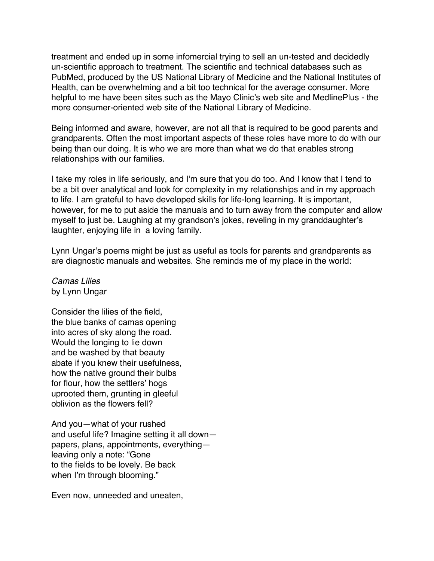treatment and ended up in some infomercial trying to sell an un-tested and decidedly un-scientific approach to treatment. The scientific and technical databases such as PubMed, produced by the US National Library of Medicine and the National Institutes of Health, can be overwhelming and a bit too technical for the average consumer. More helpful to me have been sites such as the Mayo Clinic's web site and MedlinePlus - the more consumer-oriented web site of the National Library of Medicine.

Being informed and aware, however, are not all that is required to be good parents and grandparents. Often the most important aspects of these roles have more to do with our being than our doing. It is who we are more than what we do that enables strong relationships with our families.

I take my roles in life seriously, and I'm sure that you do too. And I know that I tend to be a bit over analytical and look for complexity in my relationships and in my approach to life. I am grateful to have developed skills for life-long learning. It is important, however, for me to put aside the manuals and to turn away from the computer and allow myself to just be. Laughing at my grandson's jokes, reveling in my granddaughter's laughter, enjoying life in a loving family.

Lynn Ungar's poems might be just as useful as tools for parents and grandparents as are diagnostic manuals and websites. She reminds me of my place in the world:

*Camas Lilies* by Lynn Ungar

Consider the lilies of the field, the blue banks of camas opening into acres of sky along the road. Would the longing to lie down and be washed by that beauty abate if you knew their usefulness, how the native ground their bulbs for flour, how the settlers' hogs uprooted them, grunting in gleeful oblivion as the flowers fell?

And you—what of your rushed and useful life? Imagine setting it all down papers, plans, appointments, everything leaving only a note: "Gone to the fields to be lovely. Be back when I'm through blooming."

Even now, unneeded and uneaten,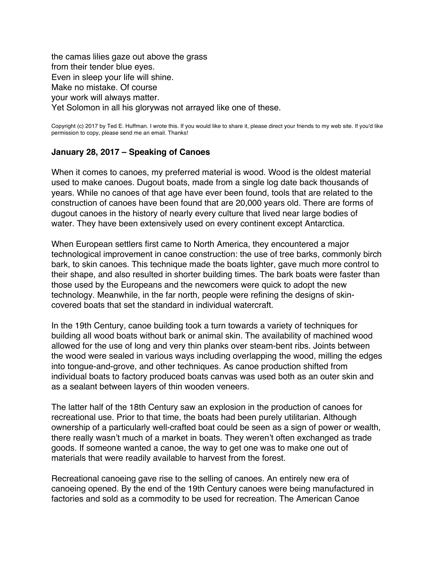<span id="page-58-0"></span>the camas lilies gaze out above the grass from their tender blue eyes. Even in sleep your life will shine. Make no mistake. Of course your work will always matter. Yet Solomon in all his glorywas not arrayed like one of these.

Copyright (c) 2017 by Ted E. Huffman. I wrote this. If you would like to share it, please direct your friends to my web site. If you'd like permission to copy, please send me an email. Thanks!

#### **January 28, 2017 – Speaking of Canoes**

When it comes to canoes, my preferred material is wood. Wood is the oldest material used to make canoes. Dugout boats, made from a single log date back thousands of years. While no canoes of that age have ever been found, tools that are related to the construction of canoes have been found that are 20,000 years old. There are forms of dugout canoes in the history of nearly every culture that lived near large bodies of water. They have been extensively used on every continent except Antarctica.

When European settlers first came to North America, they encountered a major technological improvement in canoe construction: the use of tree barks, commonly birch bark, to skin canoes. This technique made the boats lighter, gave much more control to their shape, and also resulted in shorter building times. The bark boats were faster than those used by the Europeans and the newcomers were quick to adopt the new technology. Meanwhile, in the far north, people were refining the designs of skincovered boats that set the standard in individual watercraft.

In the 19th Century, canoe building took a turn towards a variety of techniques for building all wood boats without bark or animal skin. The availability of machined wood allowed for the use of long and very thin planks over steam-bent ribs. Joints between the wood were sealed in various ways including overlapping the wood, milling the edges into tongue-and-grove, and other techniques. As canoe production shifted from individual boats to factory produced boats canvas was used both as an outer skin and as a sealant between layers of thin wooden veneers.

The latter half of the 18th Century saw an explosion in the production of canoes for recreational use. Prior to that time, the boats had been purely utilitarian. Although ownership of a particularly well-crafted boat could be seen as a sign of power or wealth, there really wasn't much of a market in boats. They weren't often exchanged as trade goods. If someone wanted a canoe, the way to get one was to make one out of materials that were readily available to harvest from the forest.

Recreational canoeing gave rise to the selling of canoes. An entirely new era of canoeing opened. By the end of the 19th Century canoes were being manufactured in factories and sold as a commodity to be used for recreation. The American Canoe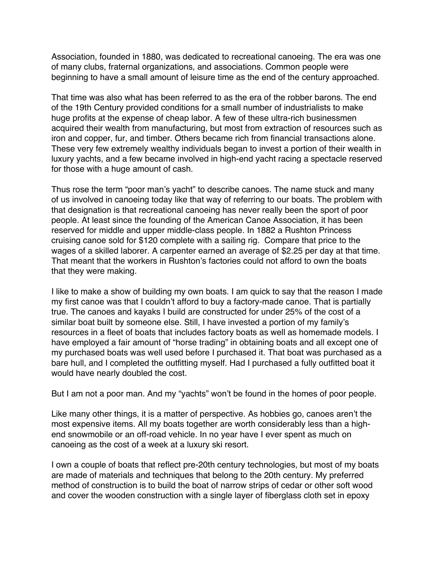Association, founded in 1880, was dedicated to recreational canoeing. The era was one of many clubs, fraternal organizations, and associations. Common people were beginning to have a small amount of leisure time as the end of the century approached.

That time was also what has been referred to as the era of the robber barons. The end of the 19th Century provided conditions for a small number of industrialists to make huge profits at the expense of cheap labor. A few of these ultra-rich businessmen acquired their wealth from manufacturing, but most from extraction of resources such as iron and copper, fur, and timber. Others became rich from financial transactions alone. These very few extremely wealthy individuals began to invest a portion of their wealth in luxury yachts, and a few became involved in high-end yacht racing a spectacle reserved for those with a huge amount of cash.

Thus rose the term "poor man's yacht" to describe canoes. The name stuck and many of us involved in canoeing today like that way of referring to our boats. The problem with that designation is that recreational canoeing has never really been the sport of poor people. At least since the founding of the American Canoe Association, it has been reserved for middle and upper middle-class people. In 1882 a Rushton Princess cruising canoe sold for \$120 complete with a sailing rig. Compare that price to the wages of a skilled laborer. A carpenter earned an average of \$2.25 per day at that time. That meant that the workers in Rushton's factories could not afford to own the boats that they were making.

I like to make a show of building my own boats. I am quick to say that the reason I made my first canoe was that I couldn't afford to buy a factory-made canoe. That is partially true. The canoes and kayaks I build are constructed for under 25% of the cost of a similar boat built by someone else. Still, I have invested a portion of my family's resources in a fleet of boats that includes factory boats as well as homemade models. I have employed a fair amount of "horse trading" in obtaining boats and all except one of my purchased boats was well used before I purchased it. That boat was purchased as a bare hull, and I completed the outfitting myself. Had I purchased a fully outfitted boat it would have nearly doubled the cost.

But I am not a poor man. And my "yachts" won't be found in the homes of poor people.

Like many other things, it is a matter of perspective. As hobbies go, canoes aren't the most expensive items. All my boats together are worth considerably less than a highend snowmobile or an off-road vehicle. In no year have I ever spent as much on canoeing as the cost of a week at a luxury ski resort.

I own a couple of boats that reflect pre-20th century technologies, but most of my boats are made of materials and techniques that belong to the 20th century. My preferred method of construction is to build the boat of narrow strips of cedar or other soft wood and cover the wooden construction with a single layer of fiberglass cloth set in epoxy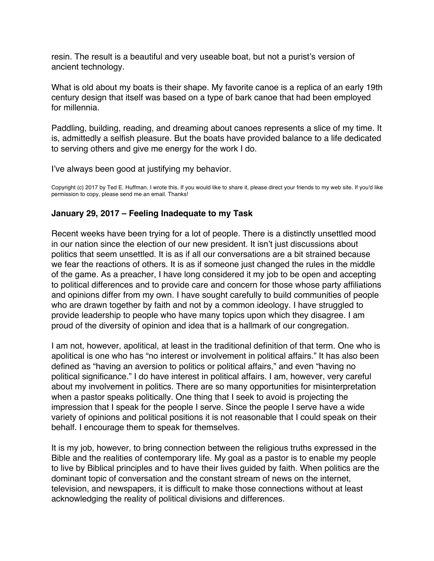<span id="page-60-0"></span>resin. The result is a beautiful and very useable boat, but not a purist's version of ancient technology.

What is old about my boats is their shape. My favorite canoe is a replica of an early 19th century design that itself was based on a type of bark canoe that had been employed for millennia.

Paddling, building, reading, and dreaming about canoes represents a slice of my time. It is, admittedly a selfish pleasure. But the boats have provided balance to a life dedicated to serving others and give me energy for the work I do.

I've always been good at justifying my behavior.

Copyright (c) 2017 by Ted E. Huffman. I wrote this. If you would like to share it, please direct your friends to my web site. If you'd like permission to copy, please send me an email. Thanks!

# **January 29, 2017 – Feeling Inadequate to my Task**

Recent weeks have been trying for a lot of people. There is a distinctly unsettled mood in our nation since the election of our new president. It isn't just discussions about politics that seem unsettled. It is as if all our conversations are a bit strained because we fear the reactions of others. It is as if someone just changed the rules in the middle of the game. As a preacher, I have long considered it my job to be open and accepting to political differences and to provide care and concern for those whose party affiliations and opinions differ from my own. I have sought carefully to build communities of people who are drawn together by faith and not by a common ideology. I have struggled to provide leadership to people who have many topics upon which they disagree. I am proud of the diversity of opinion and idea that is a hallmark of our congregation.

I am not, however, apolitical, at least in the traditional definition of that term. One who is apolitical is one who has "no interest or involvement in political affairs." It has also been defined as "having an aversion to politics or political affairs," and even "having no political significance." I do have interest in political affairs. I am, however, very careful about my involvement in politics. There are so many opportunities for misinterpretation when a pastor speaks politically. One thing that I seek to avoid is projecting the impression that I speak for the people I serve. Since the people I serve have a wide variety of opinions and political positions it is not reasonable that I could speak on their behalf. I encourage them to speak for themselves.

It is my job, however, to bring connection between the religious truths expressed in the Bible and the realities of contemporary life. My goal as a pastor is to enable my people to live by Biblical principles and to have their lives guided by faith. When politics are the dominant topic of conversation and the constant stream of news on the internet, television, and newspapers, it is difficult to make those connections without at least acknowledging the reality of political divisions and differences.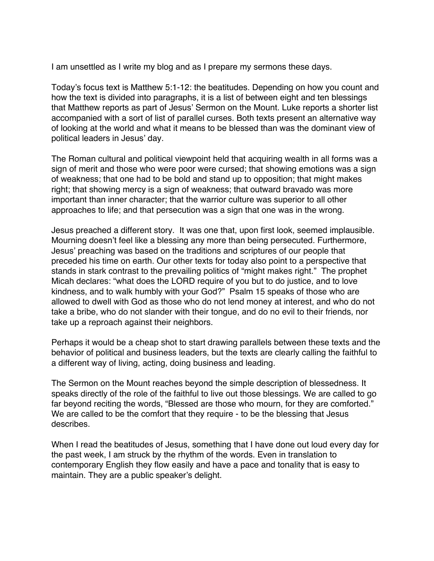I am unsettled as I write my blog and as I prepare my sermons these days.

Today's focus text is Matthew 5:1-12: the beatitudes. Depending on how you count and how the text is divided into paragraphs, it is a list of between eight and ten blessings that Matthew reports as part of Jesus' Sermon on the Mount. Luke reports a shorter list accompanied with a sort of list of parallel curses. Both texts present an alternative way of looking at the world and what it means to be blessed than was the dominant view of political leaders in Jesus' day.

The Roman cultural and political viewpoint held that acquiring wealth in all forms was a sign of merit and those who were poor were cursed; that showing emotions was a sign of weakness; that one had to be bold and stand up to opposition; that might makes right; that showing mercy is a sign of weakness; that outward bravado was more important than inner character; that the warrior culture was superior to all other approaches to life; and that persecution was a sign that one was in the wrong.

Jesus preached a different story. It was one that, upon first look, seemed implausible. Mourning doesn't feel like a blessing any more than being persecuted. Furthermore, Jesus' preaching was based on the traditions and scriptures of our people that preceded his time on earth. Our other texts for today also point to a perspective that stands in stark contrast to the prevailing politics of "might makes right." The prophet Micah declares: "what does the LORD require of you but to do justice, and to love kindness, and to walk humbly with your God?" Psalm 15 speaks of those who are allowed to dwell with God as those who do not lend money at interest, and who do not take a bribe, who do not slander with their tongue, and do no evil to their friends, nor take up a reproach against their neighbors.

Perhaps it would be a cheap shot to start drawing parallels between these texts and the behavior of political and business leaders, but the texts are clearly calling the faithful to a different way of living, acting, doing business and leading.

The Sermon on the Mount reaches beyond the simple description of blessedness. It speaks directly of the role of the faithful to live out those blessings. We are called to go far beyond reciting the words, "Blessed are those who mourn, for they are comforted." We are called to be the comfort that they require - to be the blessing that Jesus describes.

When I read the beatitudes of Jesus, something that I have done out loud every day for the past week, I am struck by the rhythm of the words. Even in translation to contemporary English they flow easily and have a pace and tonality that is easy to maintain. They are a public speaker's delight.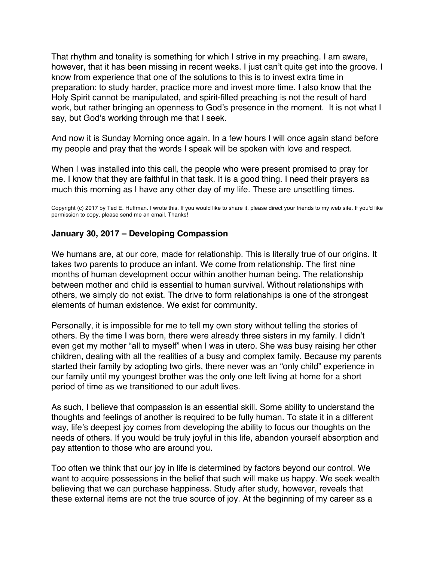<span id="page-62-0"></span>That rhythm and tonality is something for which I strive in my preaching. I am aware, however, that it has been missing in recent weeks. I just can't quite get into the groove. I know from experience that one of the solutions to this is to invest extra time in preparation: to study harder, practice more and invest more time. I also know that the Holy Spirit cannot be manipulated, and spirit-filled preaching is not the result of hard work, but rather bringing an openness to God's presence in the moment. It is not what I say, but God's working through me that I seek.

And now it is Sunday Morning once again. In a few hours I will once again stand before my people and pray that the words I speak will be spoken with love and respect.

When I was installed into this call, the people who were present promised to pray for me. I know that they are faithful in that task. It is a good thing. I need their prayers as much this morning as I have any other day of my life. These are unsettling times.

Copyright (c) 2017 by Ted E. Huffman. I wrote this. If you would like to share it, please direct your friends to my web site. If you'd like permission to copy, please send me an email. Thanks!

### **January 30, 2017 – Developing Compassion**

We humans are, at our core, made for relationship. This is literally true of our origins. It takes two parents to produce an infant. We come from relationship. The first nine months of human development occur within another human being. The relationship between mother and child is essential to human survival. Without relationships with others, we simply do not exist. The drive to form relationships is one of the strongest elements of human existence. We exist for community.

Personally, it is impossible for me to tell my own story without telling the stories of others. By the time I was born, there were already three sisters in my family. I didn't even get my mother "all to myself" when I was in utero. She was busy raising her other children, dealing with all the realities of a busy and complex family. Because my parents started their family by adopting two girls, there never was an "only child" experience in our family until my youngest brother was the only one left living at home for a short period of time as we transitioned to our adult lives.

As such, I believe that compassion is an essential skill. Some ability to understand the thoughts and feelings of another is required to be fully human. To state it in a different way, life's deepest joy comes from developing the ability to focus our thoughts on the needs of others. If you would be truly joyful in this life, abandon yourself absorption and pay attention to those who are around you.

Too often we think that our joy in life is determined by factors beyond our control. We want to acquire possessions in the belief that such will make us happy. We seek wealth believing that we can purchase happiness. Study after study, however, reveals that these external items are not the true source of joy. At the beginning of my career as a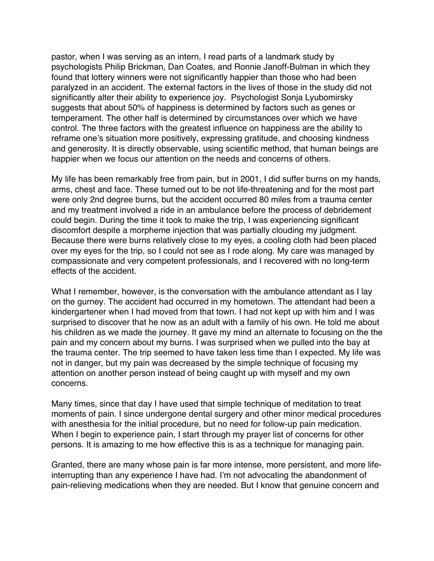pastor, when I was serving as an intern, I read parts of a landmark study by psychologists Philip Brickman, Dan Coates, and Ronnie Janoff-Bulman in which they found that lottery winners were not significantly happier than those who had been paralyzed in an accident. The external factors in the lives of those in the study did not significantly alter their ability to experience joy. Psychologist Sonja Lyubomirsky suggests that about 50% of happiness is determined by factors such as genes or temperament. The other half is determined by circumstances over which we have control. The three factors with the greatest influence on happiness are the ability to reframe one's situation more positively, expressing gratitude, and choosing kindness and generosity. It is directly observable, using scientific method, that human beings are happier when we focus our attention on the needs and concerns of others.

My life has been remarkably free from pain, but in 2001, I did suffer burns on my hands, arms, chest and face. These turned out to be not life-threatening and for the most part were only 2nd degree burns, but the accident occurred 80 miles from a trauma center and my treatment involved a ride in an ambulance before the process of debridement could begin. During the time it took to make the trip, I was experiencing significant discomfort despite a morpheme injection that was partially clouding my judgment. Because there were burns relatively close to my eyes, a cooling cloth had been placed over my eyes for the trip, so I could not see as I rode along. My care was managed by compassionate and very competent professionals, and I recovered with no long-term effects of the accident.

What I remember, however, is the conversation with the ambulance attendant as I lay on the gurney. The accident had occurred in my hometown. The attendant had been a kindergartener when I had moved from that town. I had not kept up with him and I was surprised to discover that he now as an adult with a family of his own. He told me about his children as we made the journey. It gave my mind an alternate to focusing on the the pain and my concern about my burns. I was surprised when we pulled into the bay at the trauma center. The trip seemed to have taken less time than I expected. My life was not in danger, but my pain was decreased by the simple technique of focusing my attention on another person instead of being caught up with myself and my own concerns.

Many times, since that day I have used that simple technique of meditation to treat moments of pain. I since undergone dental surgery and other minor medical procedures with anesthesia for the initial procedure, but no need for follow-up pain medication. When I begin to experience pain, I start through my prayer list of concerns for other persons. It is amazing to me how effective this is as a technique for managing pain.

Granted, there are many whose pain is far more intense, more persistent, and more lifeinterrupting than any experience I have had. I'm not advocating the abandonment of pain-relieving medications when they are needed. But I know that genuine concern and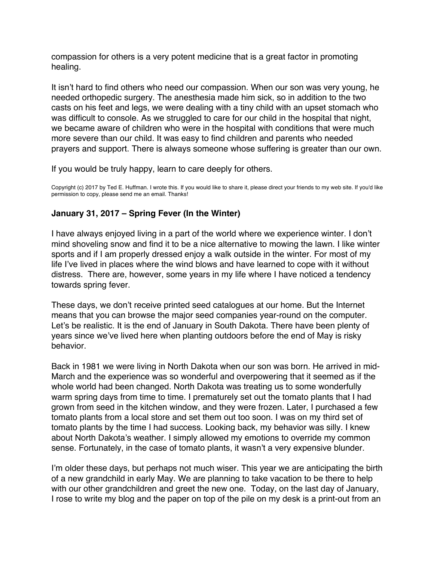<span id="page-64-0"></span>compassion for others is a very potent medicine that is a great factor in promoting healing.

It isn't hard to find others who need our compassion. When our son was very young, he needed orthopedic surgery. The anesthesia made him sick, so in addition to the two casts on his feet and legs, we were dealing with a tiny child with an upset stomach who was difficult to console. As we struggled to care for our child in the hospital that night, we became aware of children who were in the hospital with conditions that were much more severe than our child. It was easy to find children and parents who needed prayers and support. There is always someone whose suffering is greater than our own.

If you would be truly happy, learn to care deeply for others.

Copyright (c) 2017 by Ted E. Huffman. I wrote this. If you would like to share it, please direct your friends to my web site. If you'd like permission to copy, please send me an email. Thanks!

# **January 31, 2017 – Spring Fever (In the Winter)**

I have always enjoyed living in a part of the world where we experience winter. I don't mind shoveling snow and find it to be a nice alternative to mowing the lawn. I like winter sports and if I am properly dressed enjoy a walk outside in the winter. For most of my life I've lived in places where the wind blows and have learned to cope with it without distress. There are, however, some years in my life where I have noticed a tendency towards spring fever.

These days, we don't receive printed seed catalogues at our home. But the Internet means that you can browse the major seed companies year-round on the computer. Let's be realistic. It is the end of January in South Dakota. There have been plenty of years since we've lived here when planting outdoors before the end of May is risky behavior.

Back in 1981 we were living in North Dakota when our son was born. He arrived in mid-March and the experience was so wonderful and overpowering that it seemed as if the whole world had been changed. North Dakota was treating us to some wonderfully warm spring days from time to time. I prematurely set out the tomato plants that I had grown from seed in the kitchen window, and they were frozen. Later, I purchased a few tomato plants from a local store and set them out too soon. I was on my third set of tomato plants by the time I had success. Looking back, my behavior was silly. I knew about North Dakota's weather. I simply allowed my emotions to override my common sense. Fortunately, in the case of tomato plants, it wasn't a very expensive blunder.

I'm older these days, but perhaps not much wiser. This year we are anticipating the birth of a new grandchild in early May. We are planning to take vacation to be there to help with our other grandchildren and greet the new one. Today, on the last day of January, I rose to write my blog and the paper on top of the pile on my desk is a print-out from an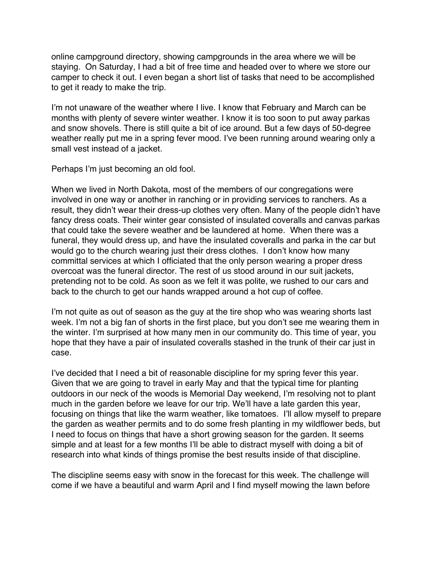online campground directory, showing campgrounds in the area where we will be staying. On Saturday, I had a bit of free time and headed over to where we store our camper to check it out. I even began a short list of tasks that need to be accomplished to get it ready to make the trip.

I'm not unaware of the weather where I live. I know that February and March can be months with plenty of severe winter weather. I know it is too soon to put away parkas and snow shovels. There is still quite a bit of ice around. But a few days of 50-degree weather really put me in a spring fever mood. I've been running around wearing only a small vest instead of a jacket.

Perhaps I'm just becoming an old fool.

When we lived in North Dakota, most of the members of our congregations were involved in one way or another in ranching or in providing services to ranchers. As a result, they didn't wear their dress-up clothes very often. Many of the people didn't have fancy dress coats. Their winter gear consisted of insulated coveralls and canvas parkas that could take the severe weather and be laundered at home. When there was a funeral, they would dress up, and have the insulated coveralls and parka in the car but would go to the church wearing just their dress clothes. I don't know how many committal services at which I officiated that the only person wearing a proper dress overcoat was the funeral director. The rest of us stood around in our suit jackets, pretending not to be cold. As soon as we felt it was polite, we rushed to our cars and back to the church to get our hands wrapped around a hot cup of coffee.

I'm not quite as out of season as the guy at the tire shop who was wearing shorts last week. I'm not a big fan of shorts in the first place, but you don't see me wearing them in the winter. I'm surprised at how many men in our community do. This time of year, you hope that they have a pair of insulated coveralls stashed in the trunk of their car just in case.

I've decided that I need a bit of reasonable discipline for my spring fever this year. Given that we are going to travel in early May and that the typical time for planting outdoors in our neck of the woods is Memorial Day weekend, I'm resolving not to plant much in the garden before we leave for our trip. We'll have a late garden this year, focusing on things that like the warm weather, like tomatoes. I'll allow myself to prepare the garden as weather permits and to do some fresh planting in my wildflower beds, but I need to focus on things that have a short growing season for the garden. It seems simple and at least for a few months I'll be able to distract myself with doing a bit of research into what kinds of things promise the best results inside of that discipline.

The discipline seems easy with snow in the forecast for this week. The challenge will come if we have a beautiful and warm April and I find myself mowing the lawn before